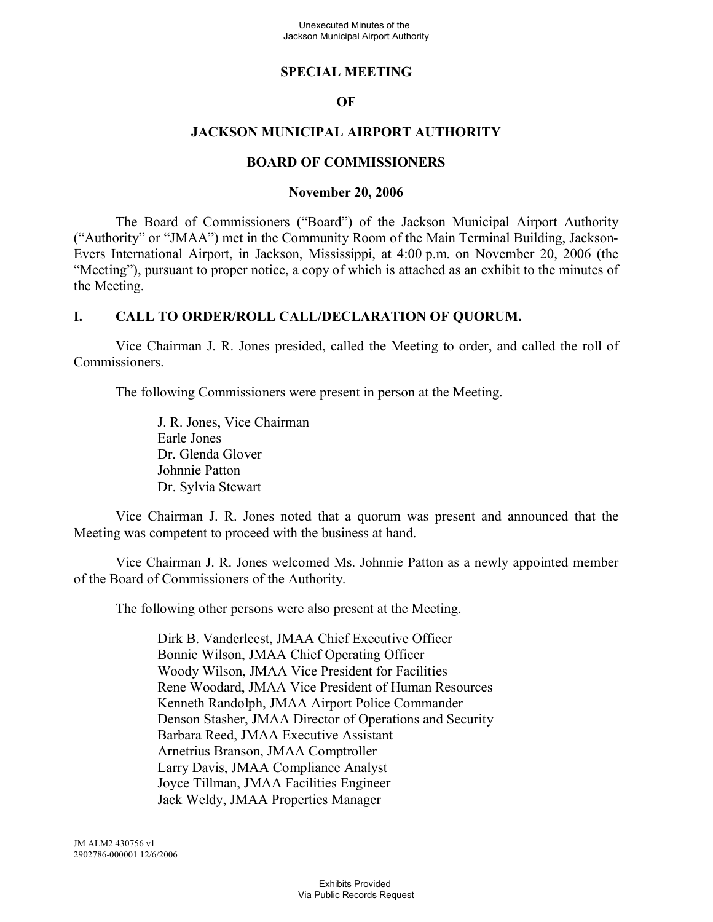### **SPECIAL MEETING**

### **OF**

## **JACKSON MUNICIPAL AIRPORT AUTHORITY**

#### **BOARD OF COMMISSIONERS**

#### **November 20, 2006**

The Board of Commissioners ("Board") of the Jackson Municipal Airport Authority ("Authority" or "JMAA") met in the Community Room of the Main Terminal Building, Jackson-Evers International Airport, in Jackson, Mississippi, at 4:00 p.m. on November 20, 2006 (the "Meeting"), pursuant to proper notice, a copy of which is attached as an exhibit to the minutes of the Meeting.

#### **I. CALL TO ORDER/ROLL CALL/DECLARATION OF QUORUM.**

Vice Chairman J. R. Jones presided, called the Meeting to order, and called the roll of Commissioners.

The following Commissioners were present in person at the Meeting.

J. R. Jones, Vice Chairman Earle Jones Dr. Glenda Glover Johnnie Patton Dr. Sylvia Stewart

Vice Chairman J. R. Jones noted that a quorum was present and announced that the Meeting was competent to proceed with the business at hand.

Vice Chairman J. R. Jones welcomed Ms. Johnnie Patton as a newly appointed member of the Board of Commissioners of the Authority.

The following other persons were also present at the Meeting.

Dirk B. Vanderleest, JMAA Chief Executive Officer Bonnie Wilson, JMAA Chief Operating Officer Woody Wilson, JMAA Vice President for Facilities Rene Woodard, JMAA Vice President of Human Resources Kenneth Randolph, JMAA Airport Police Commander Denson Stasher, JMAA Director of Operations and Security Barbara Reed, JMAA Executive Assistant Arnetrius Branson, JMAA Comptroller Larry Davis, JMAA Compliance Analyst Joyce Tillman, JMAA Facilities Engineer Jack Weldy, JMAA Properties Manager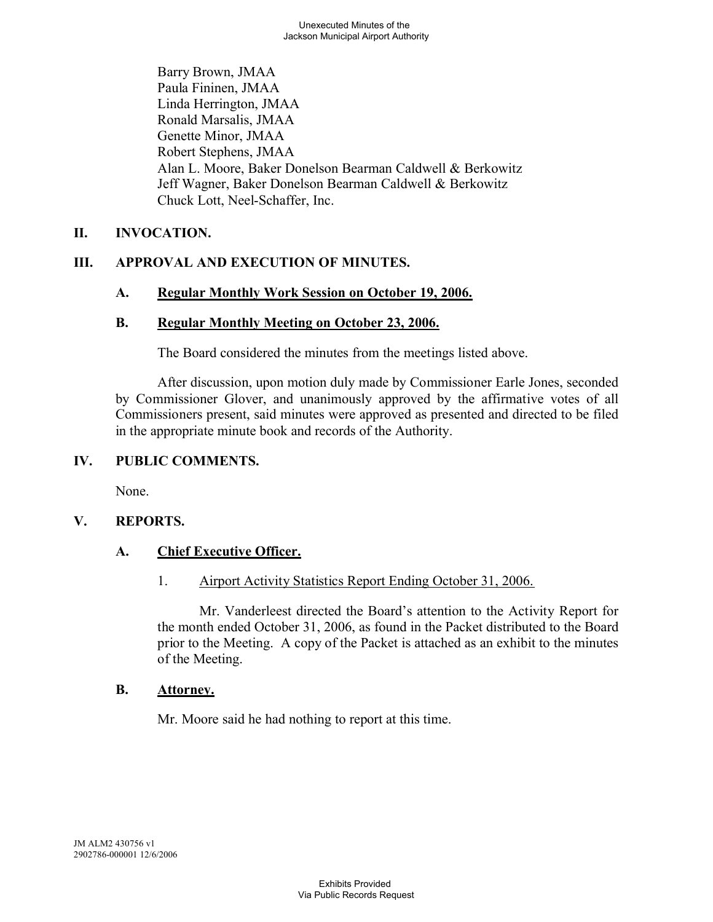Barry Brown, JMAA Paula Fininen, JMAA Linda Herrington, JMAA Ronald Marsalis, JMAA Genette Minor, JMAA Robert Stephens, JMAA Alan L. Moore, Baker Donelson Bearman Caldwell & Berkowitz Jeff Wagner, Baker Donelson Bearman Caldwell & Berkowitz Chuck Lott, Neel-Schaffer, Inc.

# **II. INVOCATION.**

# **III. APPROVAL AND EXECUTION OF MINUTES.**

# **A. Regular Monthly Work Session on October 19, 2006.**

# **B. Regular Monthly Meeting on October 23, 2006.**

The Board considered the minutes from the meetings listed above.

After discussion, upon motion duly made by Commissioner Earle Jones, seconded by Commissioner Glover, and unanimously approved by the affirmative votes of all Commissioners present, said minutes were approved as presented and directed to be filed in the appropriate minute book and records of the Authority.

# **IV. PUBLIC COMMENTS.**

None.

# **V. REPORTS.**

# **A. Chief Executive Officer.**

# 1. Airport Activity Statistics Report Ending October 31, 2006.

Mr. Vanderleest directed the Board's attention to the Activity Report for the month ended October 31, 2006, as found in the Packet distributed to the Board prior to the Meeting. A copy of the Packet is attached as an exhibit to the minutes of the Meeting.

# **B. Attorney.**

Mr. Moore said he had nothing to report at this time.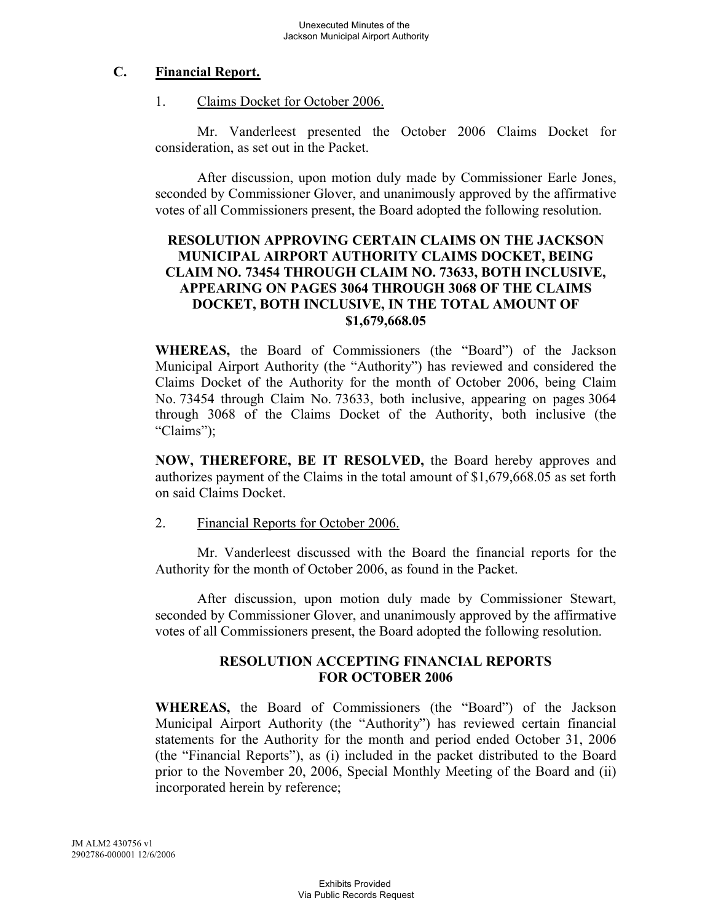## **C. Financial Report.**

#### 1. Claims Docket for October 2006.

Mr. Vanderleest presented the October 2006 Claims Docket for consideration, as set out in the Packet.

After discussion, upon motion duly made by Commissioner Earle Jones, seconded by Commissioner Glover, and unanimously approved by the affirmative votes of all Commissioners present, the Board adopted the following resolution.

## **RESOLUTION APPROVING CERTAIN CLAIMS ON THE JACKSON MUNICIPAL AIRPORT AUTHORITY CLAIMS DOCKET, BEING CLAIM NO. 73454 THROUGH CLAIM NO. 73633, BOTH INCLUSIVE, APPEARING ON PAGES 3064 THROUGH 3068 OF THE CLAIMS DOCKET, BOTH INCLUSIVE, IN THE TOTAL AMOUNT OF \$1,679,668.05**

**WHEREAS,** the Board of Commissioners (the "Board") of the Jackson Municipal Airport Authority (the "Authority") has reviewed and considered the Claims Docket of the Authority for the month of October 2006, being Claim No. 73454 through Claim No. 73633, both inclusive, appearing on pages 3064 through 3068 of the Claims Docket of the Authority, both inclusive (the "Claims");

**NOW, THEREFORE, BE IT RESOLVED,** the Board hereby approves and authorizes payment of the Claims in the total amount of \$1,679,668.05 as set forth on said Claims Docket.

#### 2. Financial Reports for October 2006.

Mr. Vanderleest discussed with the Board the financial reports for the Authority for the month of October 2006, as found in the Packet.

After discussion, upon motion duly made by Commissioner Stewart, seconded by Commissioner Glover, and unanimously approved by the affirmative votes of all Commissioners present, the Board adopted the following resolution.

#### **RESOLUTION ACCEPTING FINANCIAL REPORTS FOR OCTOBER 2006**

**WHEREAS,** the Board of Commissioners (the "Board") of the Jackson Municipal Airport Authority (the "Authority") has reviewed certain financial statements for the Authority for the month and period ended October 31, 2006 (the "Financial Reports"), as (i) included in the packet distributed to the Board prior to the November 20, 2006, Special Monthly Meeting of the Board and (ii) incorporated herein by reference;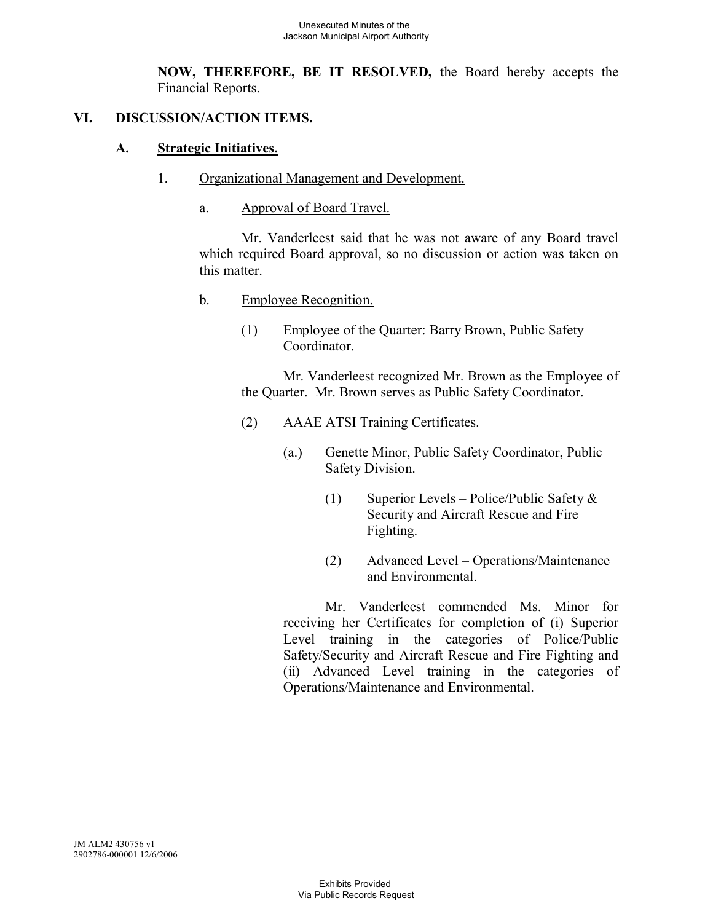**NOW, THEREFORE, BE IT RESOLVED,** the Board hereby accepts the Financial Reports.

# **VI. DISCUSSION/ACTION ITEMS.**

### **A. Strategic Initiatives.**

- 1. Organizational Management and Development.
	- a. Approval of Board Travel.

Mr. Vanderleest said that he was not aware of any Board travel which required Board approval, so no discussion or action was taken on this matter.

- b. Employee Recognition.
	- (1) Employee of the Quarter: Barry Brown, Public Safety Coordinator.

Mr. Vanderleest recognized Mr. Brown as the Employee of the Quarter. Mr. Brown serves as Public Safety Coordinator.

- (2) AAAE ATSI Training Certificates.
	- (a.) Genette Minor, Public Safety Coordinator, Public Safety Division.
		- (1) Superior Levels Police/Public Safety & Security and Aircraft Rescue and Fire Fighting.
		- (2) Advanced Level Operations/Maintenance and Environmental.

Mr. Vanderleest commended Ms. Minor for receiving her Certificates for completion of (i) Superior Level training in the categories of Police/Public Safety/Security and Aircraft Rescue and Fire Fighting and (ii) Advanced Level training in the categories of Operations/Maintenance and Environmental.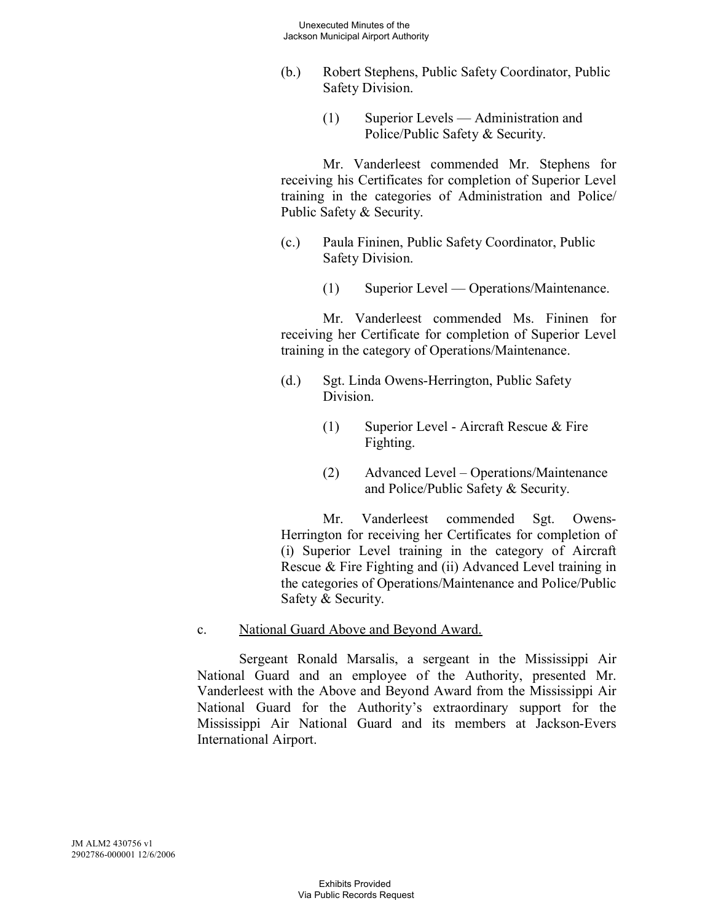- (b.) Robert Stephens, Public Safety Coordinator, Public Safety Division.
	- (1) Superior Levels Administration and Police/Public Safety & Security.

Mr. Vanderleest commended Mr. Stephens for receiving his Certificates for completion of Superior Level training in the categories of Administration and Police/ Public Safety & Security.

- (c.) Paula Fininen, Public Safety Coordinator, Public Safety Division.
	- (1) Superior Level Operations/Maintenance.

Mr. Vanderleest commended Ms. Fininen for receiving her Certificate for completion of Superior Level training in the category of Operations/Maintenance.

- (d.) Sgt. Linda Owens-Herrington, Public Safety Division.
	- (1) Superior Level Aircraft Rescue & Fire Fighting.
	- (2) Advanced Level Operations/Maintenance and Police/Public Safety & Security.

Mr. Vanderleest commended Sgt. Owens-Herrington for receiving her Certificates for completion of (i) Superior Level training in the category of Aircraft Rescue & Fire Fighting and (ii) Advanced Level training in the categories of Operations/Maintenance and Police/Public Safety & Security.

# c. National Guard Above and Beyond Award.

Sergeant Ronald Marsalis, a sergeant in the Mississippi Air National Guard and an employee of the Authority, presented Mr. Vanderleest with the Above and Beyond Award from the Mississippi Air National Guard for the Authority's extraordinary support for the Mississippi Air National Guard and its members at Jackson-Evers International Airport.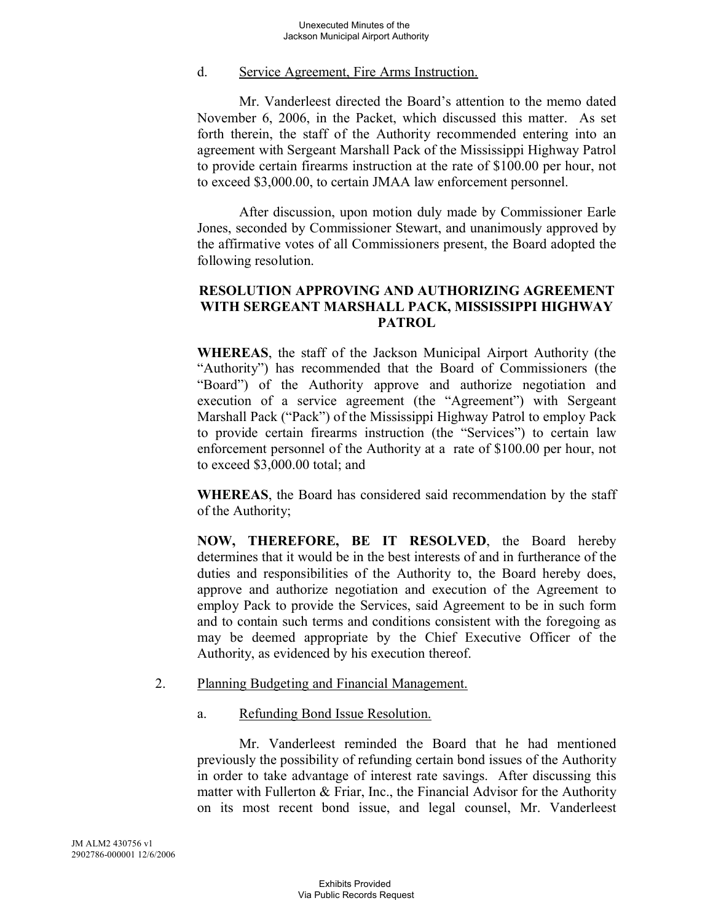### d. Service Agreement, Fire Arms Instruction.

Mr. Vanderleest directed the Board's attention to the memo dated November 6, 2006, in the Packet, which discussed this matter. As set forth therein, the staff of the Authority recommended entering into an agreement with Sergeant Marshall Pack of the Mississippi Highway Patrol to provide certain firearms instruction at the rate of \$100.00 per hour, not to exceed \$3,000.00, to certain JMAA law enforcement personnel.

After discussion, upon motion duly made by Commissioner Earle Jones, seconded by Commissioner Stewart, and unanimously approved by the affirmative votes of all Commissioners present, the Board adopted the following resolution.

# **RESOLUTION APPROVING AND AUTHORIZING AGREEMENT WITH SERGEANT MARSHALL PACK, MISSISSIPPI HIGHWAY PATROL**

**WHEREAS**, the staff of the Jackson Municipal Airport Authority (the "Authority") has recommended that the Board of Commissioners (the "Board") of the Authority approve and authorize negotiation and execution of a service agreement (the "Agreement") with Sergeant Marshall Pack ("Pack") of the Mississippi Highway Patrol to employ Pack to provide certain firearms instruction (the "Services") to certain law enforcement personnel of the Authority at a rate of \$100.00 per hour, not to exceed \$3,000.00 total; and

**WHEREAS**, the Board has considered said recommendation by the staff of the Authority;

**NOW, THEREFORE, BE IT RESOLVED**, the Board hereby determines that it would be in the best interests of and in furtherance of the duties and responsibilities of the Authority to, the Board hereby does, approve and authorize negotiation and execution of the Agreement to employ Pack to provide the Services, said Agreement to be in such form and to contain such terms and conditions consistent with the foregoing as may be deemed appropriate by the Chief Executive Officer of the Authority, as evidenced by his execution thereof.

# 2. Planning Budgeting and Financial Management.

a. Refunding Bond Issue Resolution.

Mr. Vanderleest reminded the Board that he had mentioned previously the possibility of refunding certain bond issues of the Authority in order to take advantage of interest rate savings. After discussing this matter with Fullerton & Friar, Inc., the Financial Advisor for the Authority on its most recent bond issue, and legal counsel, Mr. Vanderleest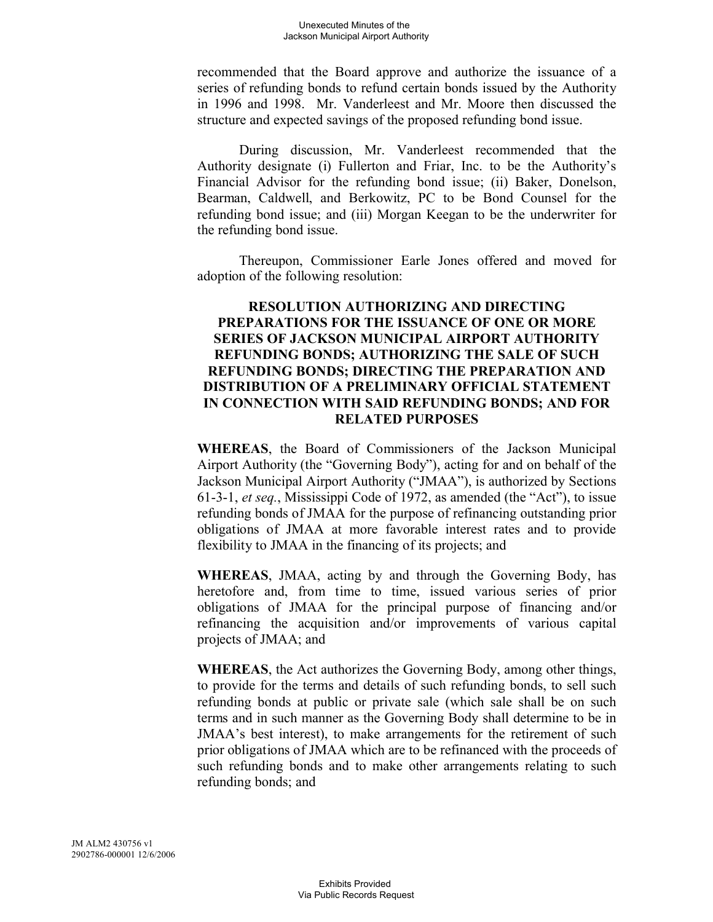recommended that the Board approve and authorize the issuance of a series of refunding bonds to refund certain bonds issued by the Authority in 1996 and 1998. Mr. Vanderleest and Mr. Moore then discussed the structure and expected savings of the proposed refunding bond issue.

During discussion, Mr. Vanderleest recommended that the Authority designate (i) Fullerton and Friar, Inc. to be the Authority's Financial Advisor for the refunding bond issue; (ii) Baker, Donelson, Bearman, Caldwell, and Berkowitz, PC to be Bond Counsel for the refunding bond issue; and (iii) Morgan Keegan to be the underwriter for the refunding bond issue.

Thereupon, Commissioner Earle Jones offered and moved for adoption of the following resolution:

## **RESOLUTION AUTHORIZING AND DIRECTING PREPARATIONS FOR THE ISSUANCE OF ONE OR MORE SERIES OF JACKSON MUNICIPAL AIRPORT AUTHORITY REFUNDING BONDS; AUTHORIZING THE SALE OF SUCH REFUNDING BONDS; DIRECTING THE PREPARATION AND DISTRIBUTION OF A PRELIMINARY OFFICIAL STATEMENT IN CONNECTION WITH SAID REFUNDING BONDS; AND FOR RELATED PURPOSES**

**WHEREAS**, the Board of Commissioners of the Jackson Municipal Airport Authority (the "Governing Body"), acting for and on behalf of the Jackson Municipal Airport Authority ("JMAA"), is authorized by Sections 61-3-1, *et seq.*, Mississippi Code of 1972, as amended (the "Act"), to issue refunding bonds of JMAA for the purpose of refinancing outstanding prior obligations of JMAA at more favorable interest rates and to provide flexibility to JMAA in the financing of its projects; and

**WHEREAS**, JMAA, acting by and through the Governing Body, has heretofore and, from time to time, issued various series of prior obligations of JMAA for the principal purpose of financing and/or refinancing the acquisition and/or improvements of various capital projects of JMAA; and

**WHEREAS**, the Act authorizes the Governing Body, among other things, to provide for the terms and details of such refunding bonds, to sell such refunding bonds at public or private sale (which sale shall be on such terms and in such manner as the Governing Body shall determine to be in JMAA's best interest), to make arrangements for the retirement of such prior obligations of JMAA which are to be refinanced with the proceeds of such refunding bonds and to make other arrangements relating to such refunding bonds; and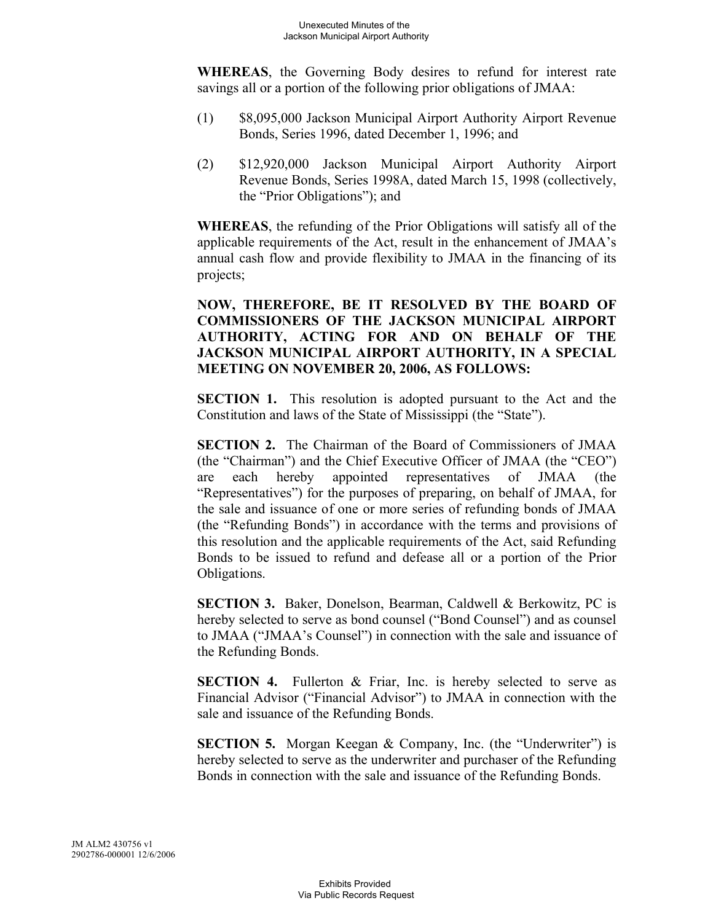**WHEREAS**, the Governing Body desires to refund for interest rate savings all or a portion of the following prior obligations of JMAA:

- (1) \$8,095,000 Jackson Municipal Airport Authority Airport Revenue Bonds, Series 1996, dated December 1, 1996; and
- (2) \$12,920,000 Jackson Municipal Airport Authority Airport Revenue Bonds, Series 1998A, dated March 15, 1998 (collectively, the "Prior Obligations"); and

**WHEREAS**, the refunding of the Prior Obligations will satisfy all of the applicable requirements of the Act, result in the enhancement of JMAA's annual cash flow and provide flexibility to JMAA in the financing of its projects;

**NOW, THEREFORE, BE IT RESOLVED BY THE BOARD OF COMMISSIONERS OF THE JACKSON MUNICIPAL AIRPORT AUTHORITY, ACTING FOR AND ON BEHALF OF THE JACKSON MUNICIPAL AIRPORT AUTHORITY, IN A SPECIAL MEETING ON NOVEMBER 20, 2006, AS FOLLOWS:**

**SECTION 1.** This resolution is adopted pursuant to the Act and the Constitution and laws of the State of Mississippi (the "State").

**SECTION 2.** The Chairman of the Board of Commissioners of JMAA (the "Chairman") and the Chief Executive Officer of JMAA (the "CEO") are each hereby appointed representatives of JMAA (the "Representatives") for the purposes of preparing, on behalf of JMAA, for the sale and issuance of one or more series of refunding bonds of JMAA (the "Refunding Bonds") in accordance with the terms and provisions of this resolution and the applicable requirements of the Act, said Refunding Bonds to be issued to refund and defease all or a portion of the Prior Obligations.

**SECTION 3.** Baker, Donelson, Bearman, Caldwell & Berkowitz, PC is hereby selected to serve as bond counsel ("Bond Counsel") and as counsel to JMAA ("JMAA's Counsel") in connection with the sale and issuance of the Refunding Bonds.

**SECTION 4.** Fullerton & Friar, Inc. is hereby selected to serve as Financial Advisor ("Financial Advisor") to JMAA in connection with the sale and issuance of the Refunding Bonds.

**SECTION 5.** Morgan Keegan & Company, Inc. (the "Underwriter") is hereby selected to serve as the underwriter and purchaser of the Refunding Bonds in connection with the sale and issuance of the Refunding Bonds.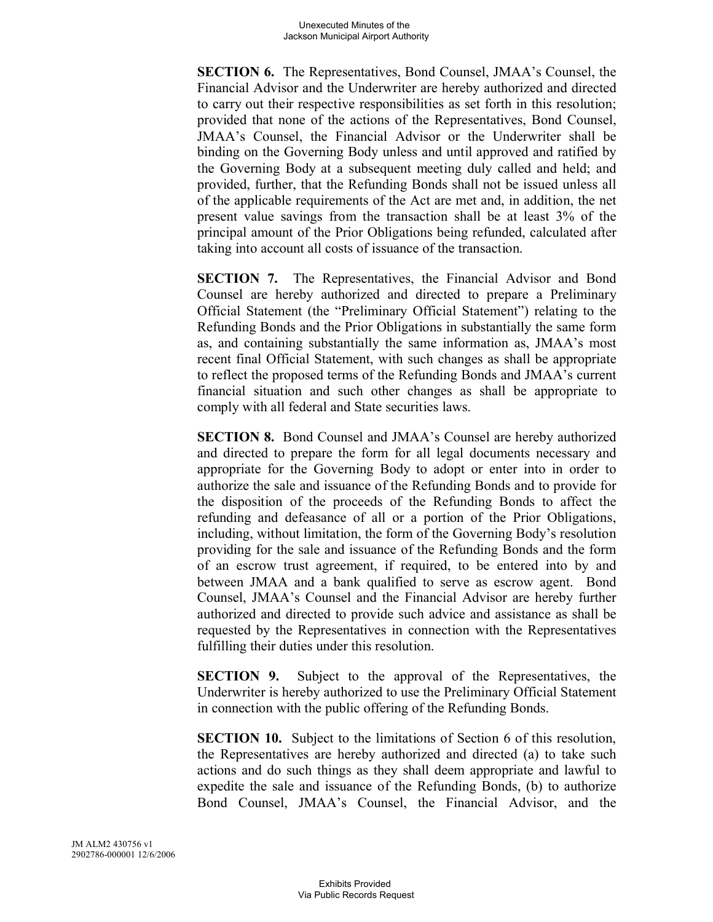**SECTION 6.** The Representatives, Bond Counsel, JMAA's Counsel, the Financial Advisor and the Underwriter are hereby authorized and directed to carry out their respective responsibilities as set forth in this resolution; provided that none of the actions of the Representatives, Bond Counsel, JMAA's Counsel, the Financial Advisor or the Underwriter shall be binding on the Governing Body unless and until approved and ratified by the Governing Body at a subsequent meeting duly called and held; and provided, further, that the Refunding Bonds shall not be issued unless all of the applicable requirements of the Act are met and, in addition, the net present value savings from the transaction shall be at least 3% of the principal amount of the Prior Obligations being refunded, calculated after taking into account all costs of issuance of the transaction.

**SECTION 7.** The Representatives, the Financial Advisor and Bond Counsel are hereby authorized and directed to prepare a Preliminary Official Statement (the "Preliminary Official Statement") relating to the Refunding Bonds and the Prior Obligations in substantially the same form as, and containing substantially the same information as, JMAA's most recent final Official Statement, with such changes as shall be appropriate to reflect the proposed terms of the Refunding Bonds and JMAA's current financial situation and such other changes as shall be appropriate to comply with all federal and State securities laws.

**SECTION 8.** Bond Counsel and JMAA's Counsel are hereby authorized and directed to prepare the form for all legal documents necessary and appropriate for the Governing Body to adopt or enter into in order to authorize the sale and issuance of the Refunding Bonds and to provide for the disposition of the proceeds of the Refunding Bonds to affect the refunding and defeasance of all or a portion of the Prior Obligations, including, without limitation, the form of the Governing Body's resolution providing for the sale and issuance of the Refunding Bonds and the form of an escrow trust agreement, if required, to be entered into by and between JMAA and a bank qualified to serve as escrow agent. Bond Counsel, JMAA's Counsel and the Financial Advisor are hereby further authorized and directed to provide such advice and assistance as shall be requested by the Representatives in connection with the Representatives fulfilling their duties under this resolution.

**SECTION 9.** Subject to the approval of the Representatives, the Underwriter is hereby authorized to use the Preliminary Official Statement in connection with the public offering of the Refunding Bonds.

**SECTION 10.** Subject to the limitations of Section 6 of this resolution, the Representatives are hereby authorized and directed (a) to take such actions and do such things as they shall deem appropriate and lawful to expedite the sale and issuance of the Refunding Bonds, (b) to authorize Bond Counsel, JMAA's Counsel, the Financial Advisor, and the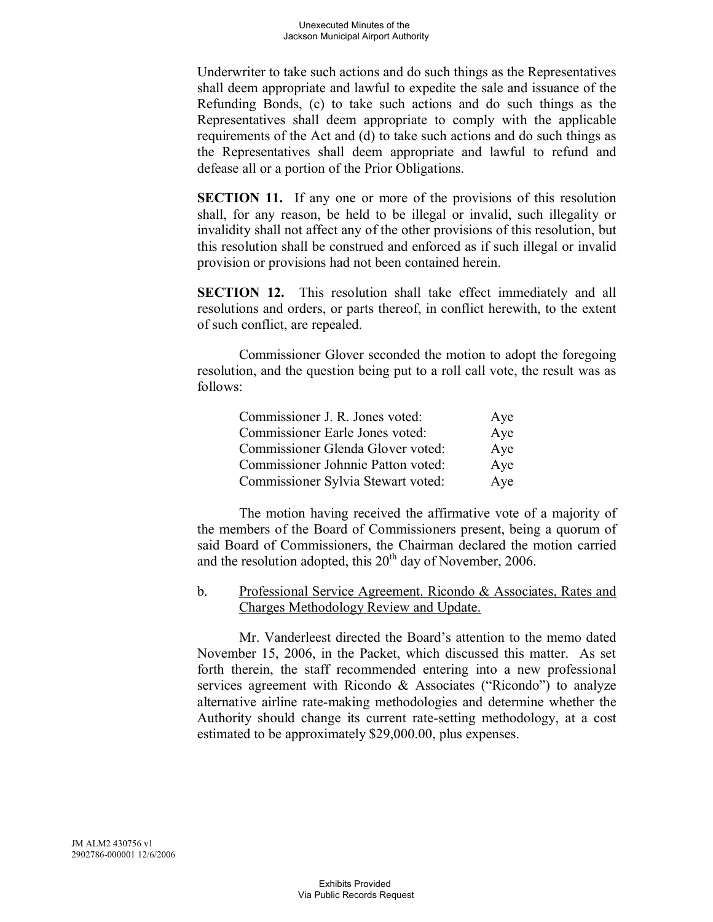Underwriter to take such actions and do such things as the Representatives shall deem appropriate and lawful to expedite the sale and issuance of the Refunding Bonds, (c) to take such actions and do such things as the Representatives shall deem appropriate to comply with the applicable requirements of the Act and (d) to take such actions and do such things as the Representatives shall deem appropriate and lawful to refund and defease all or a portion of the Prior Obligations.

**SECTION 11.** If any one or more of the provisions of this resolution shall, for any reason, be held to be illegal or invalid, such illegality or invalidity shall not affect any of the other provisions of this resolution, but this resolution shall be construed and enforced as if such illegal or invalid provision or provisions had not been contained herein.

**SECTION 12.** This resolution shall take effect immediately and all resolutions and orders, or parts thereof, in conflict herewith, to the extent of such conflict, are repealed.

Commissioner Glover seconded the motion to adopt the foregoing resolution, and the question being put to a roll call vote, the result was as follows:

| Commissioner J. R. Jones voted:    | Aye |
|------------------------------------|-----|
| Commissioner Earle Jones voted:    | Aye |
| Commissioner Glenda Glover voted:  | Aye |
| Commissioner Johnnie Patton voted: | Aye |
| Commissioner Sylvia Stewart voted: | Aye |

The motion having received the affirmative vote of a majority of the members of the Board of Commissioners present, being a quorum of said Board of Commissioners, the Chairman declared the motion carried and the resolution adopted, this  $20<sup>th</sup>$  day of November, 2006.

b. Professional Service Agreement. Ricondo & Associates, Rates and Charges Methodology Review and Update.

Mr. Vanderleest directed the Board's attention to the memo dated November 15, 2006, in the Packet, which discussed this matter. As set forth therein, the staff recommended entering into a new professional services agreement with Ricondo & Associates ("Ricondo") to analyze alternative airline rate-making methodologies and determine whether the Authority should change its current rate-setting methodology, at a cost estimated to be approximately \$29,000.00, plus expenses.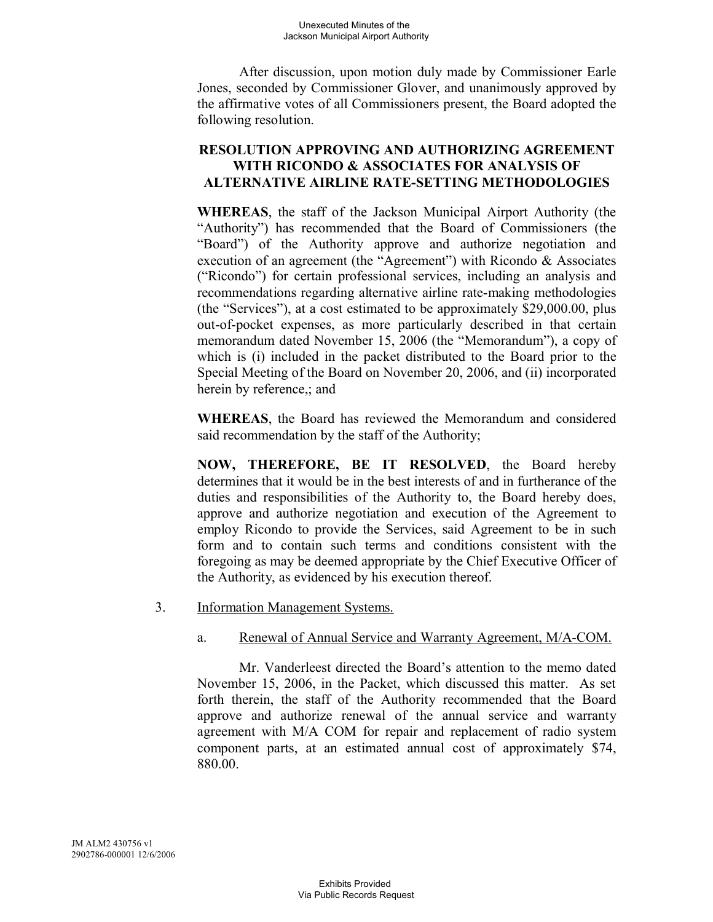After discussion, upon motion duly made by Commissioner Earle Jones, seconded by Commissioner Glover, and unanimously approved by the affirmative votes of all Commissioners present, the Board adopted the following resolution.

# **RESOLUTION APPROVING AND AUTHORIZING AGREEMENT WITH RICONDO & ASSOCIATES FOR ANALYSIS OF ALTERNATIVE AIRLINE RATE-SETTING METHODOLOGIES**

**WHEREAS**, the staff of the Jackson Municipal Airport Authority (the "Authority") has recommended that the Board of Commissioners (the "Board") of the Authority approve and authorize negotiation and execution of an agreement (the "Agreement") with Ricondo & Associates ("Ricondo") for certain professional services, including an analysis and recommendations regarding alternative airline rate-making methodologies (the "Services"), at a cost estimated to be approximately \$29,000.00, plus out-of-pocket expenses, as more particularly described in that certain memorandum dated November 15, 2006 (the "Memorandum"), a copy of which is (i) included in the packet distributed to the Board prior to the Special Meeting of the Board on November 20, 2006, and (ii) incorporated herein by reference,; and

**WHEREAS**, the Board has reviewed the Memorandum and considered said recommendation by the staff of the Authority;

**NOW, THEREFORE, BE IT RESOLVED**, the Board hereby determines that it would be in the best interests of and in furtherance of the duties and responsibilities of the Authority to, the Board hereby does, approve and authorize negotiation and execution of the Agreement to employ Ricondo to provide the Services, said Agreement to be in such form and to contain such terms and conditions consistent with the foregoing as may be deemed appropriate by the Chief Executive Officer of the Authority, as evidenced by his execution thereof.

3. Information Management Systems.

# a. Renewal of Annual Service and Warranty Agreement, M/A-COM.

Mr. Vanderleest directed the Board's attention to the memo dated November 15, 2006, in the Packet, which discussed this matter. As set forth therein, the staff of the Authority recommended that the Board approve and authorize renewal of the annual service and warranty agreement with M/A COM for repair and replacement of radio system component parts, at an estimated annual cost of approximately \$74, 880.00.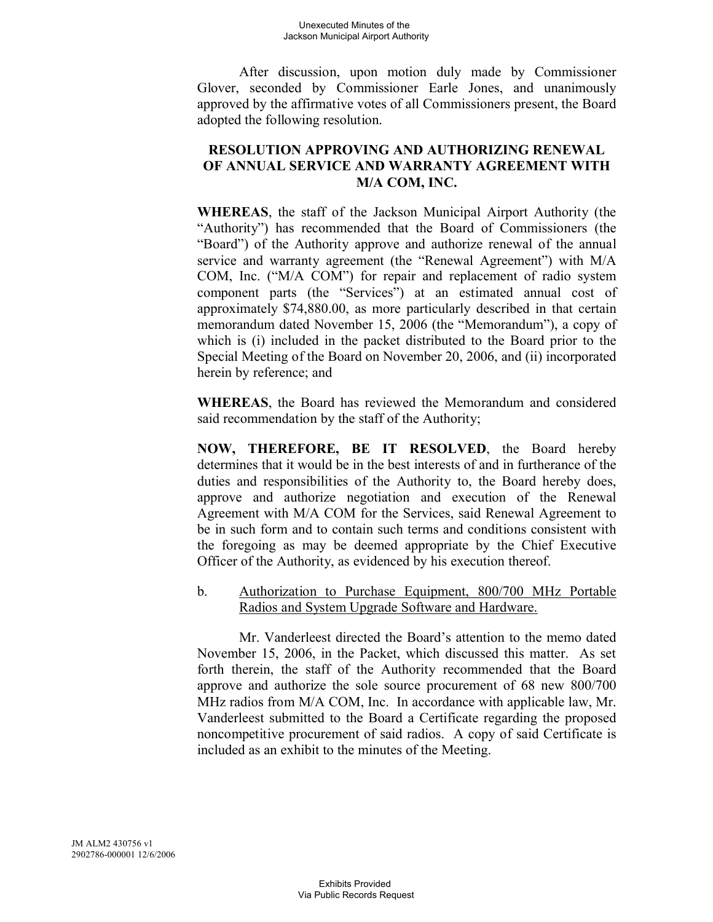After discussion, upon motion duly made by Commissioner Glover, seconded by Commissioner Earle Jones, and unanimously approved by the affirmative votes of all Commissioners present, the Board adopted the following resolution.

# **RESOLUTION APPROVING AND AUTHORIZING RENEWAL OF ANNUAL SERVICE AND WARRANTY AGREEMENT WITH M/A COM, INC.**

**WHEREAS**, the staff of the Jackson Municipal Airport Authority (the "Authority") has recommended that the Board of Commissioners (the "Board") of the Authority approve and authorize renewal of the annual service and warranty agreement (the "Renewal Agreement") with M/A COM, Inc. ("M/A COM") for repair and replacement of radio system component parts (the "Services") at an estimated annual cost of approximately \$74,880.00, as more particularly described in that certain memorandum dated November 15, 2006 (the "Memorandum"), a copy of which is (i) included in the packet distributed to the Board prior to the Special Meeting of the Board on November 20, 2006, and (ii) incorporated herein by reference; and

**WHEREAS**, the Board has reviewed the Memorandum and considered said recommendation by the staff of the Authority;

**NOW, THEREFORE, BE IT RESOLVED**, the Board hereby determines that it would be in the best interests of and in furtherance of the duties and responsibilities of the Authority to, the Board hereby does, approve and authorize negotiation and execution of the Renewal Agreement with M/A COM for the Services, said Renewal Agreement to be in such form and to contain such terms and conditions consistent with the foregoing as may be deemed appropriate by the Chief Executive Officer of the Authority, as evidenced by his execution thereof.

b. Authorization to Purchase Equipment, 800/700 MHz Portable Radios and System Upgrade Software and Hardware.

Mr. Vanderleest directed the Board's attention to the memo dated November 15, 2006, in the Packet, which discussed this matter. As set forth therein, the staff of the Authority recommended that the Board approve and authorize the sole source procurement of 68 new 800/700 MHz radios from M/A COM, Inc. In accordance with applicable law, Mr. Vanderleest submitted to the Board a Certificate regarding the proposed noncompetitive procurement of said radios. A copy of said Certificate is included as an exhibit to the minutes of the Meeting.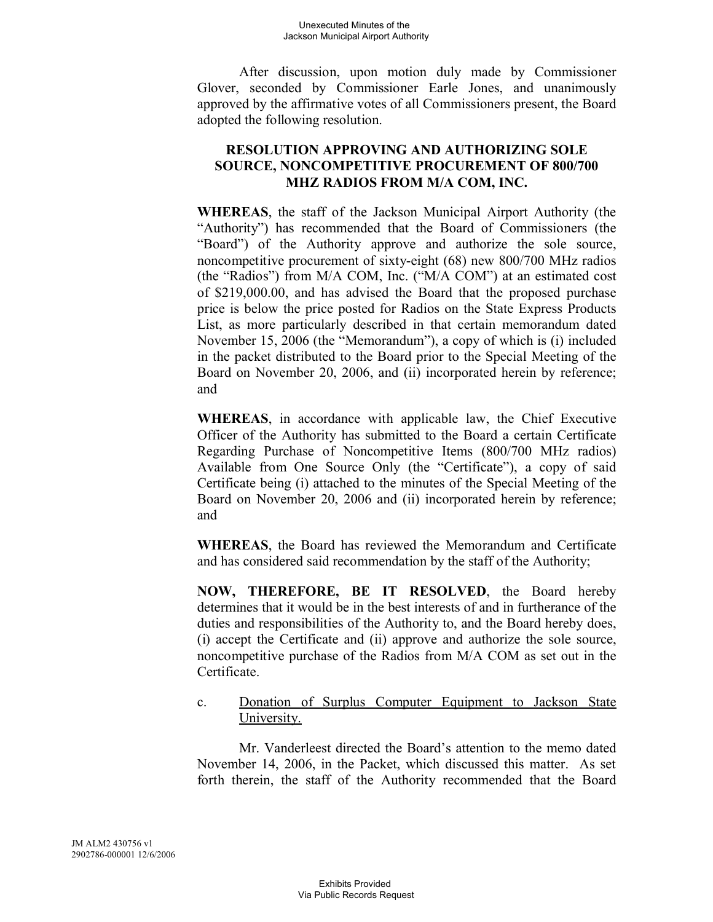After discussion, upon motion duly made by Commissioner Glover, seconded by Commissioner Earle Jones, and unanimously approved by the affirmative votes of all Commissioners present, the Board adopted the following resolution.

# **RESOLUTION APPROVING AND AUTHORIZING SOLE SOURCE, NONCOMPETITIVE PROCUREMENT OF 800/700 MHZ RADIOS FROM M/A COM, INC.**

**WHEREAS**, the staff of the Jackson Municipal Airport Authority (the "Authority") has recommended that the Board of Commissioners (the "Board") of the Authority approve and authorize the sole source, noncompetitive procurement of sixty-eight (68) new 800/700 MHz radios (the "Radios") from M/A COM, Inc. ("M/A COM") at an estimated cost of \$219,000.00, and has advised the Board that the proposed purchase price is below the price posted for Radios on the State Express Products List, as more particularly described in that certain memorandum dated November 15, 2006 (the "Memorandum"), a copy of which is (i) included in the packet distributed to the Board prior to the Special Meeting of the Board on November 20, 2006, and (ii) incorporated herein by reference; and

**WHEREAS**, in accordance with applicable law, the Chief Executive Officer of the Authority has submitted to the Board a certain Certificate Regarding Purchase of Noncompetitive Items (800/700 MHz radios) Available from One Source Only (the "Certificate"), a copy of said Certificate being (i) attached to the minutes of the Special Meeting of the Board on November 20, 2006 and (ii) incorporated herein by reference; and

**WHEREAS**, the Board has reviewed the Memorandum and Certificate and has considered said recommendation by the staff of the Authority;

**NOW, THEREFORE, BE IT RESOLVED**, the Board hereby determines that it would be in the best interests of and in furtherance of the duties and responsibilities of the Authority to, and the Board hereby does, (i) accept the Certificate and (ii) approve and authorize the sole source, noncompetitive purchase of the Radios from M/A COM as set out in the Certificate.

# c. Donation of Surplus Computer Equipment to Jackson State University.

Mr. Vanderleest directed the Board's attention to the memo dated November 14, 2006, in the Packet, which discussed this matter. As set forth therein, the staff of the Authority recommended that the Board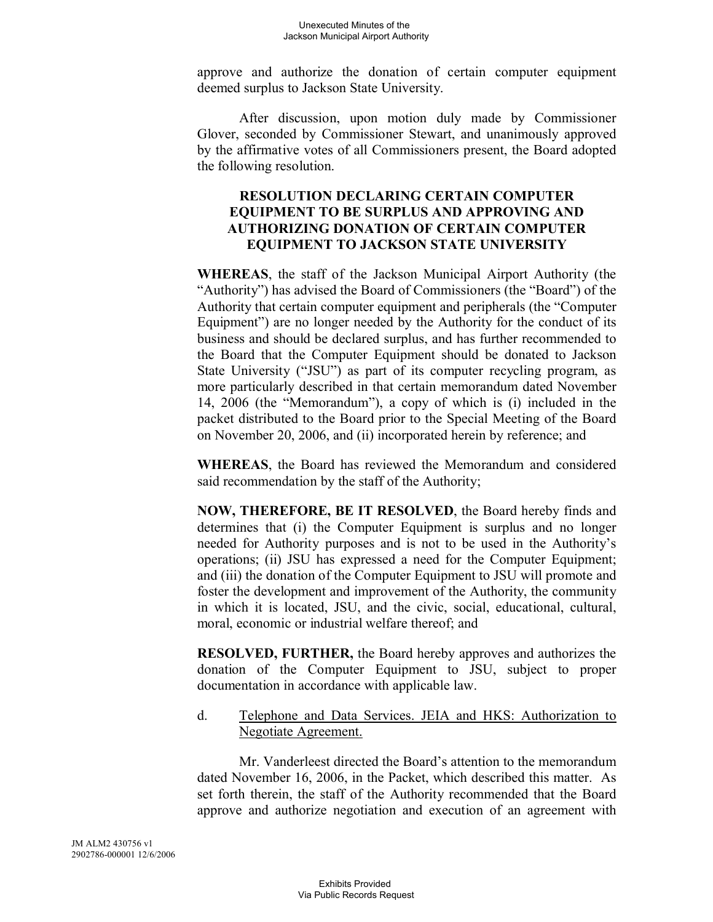approve and authorize the donation of certain computer equipment deemed surplus to Jackson State University.

After discussion, upon motion duly made by Commissioner Glover, seconded by Commissioner Stewart, and unanimously approved by the affirmative votes of all Commissioners present, the Board adopted the following resolution.

## **RESOLUTION DECLARING CERTAIN COMPUTER EQUIPMENT TO BE SURPLUS AND APPROVING AND AUTHORIZING DONATION OF CERTAIN COMPUTER EQUIPMENT TO JACKSON STATE UNIVERSITY**

**WHEREAS**, the staff of the Jackson Municipal Airport Authority (the "Authority") has advised the Board of Commissioners (the "Board") of the Authority that certain computer equipment and peripherals (the "Computer Equipment") are no longer needed by the Authority for the conduct of its business and should be declared surplus, and has further recommended to the Board that the Computer Equipment should be donated to Jackson State University ("JSU") as part of its computer recycling program, as more particularly described in that certain memorandum dated November 14, 2006 (the "Memorandum"), a copy of which is (i) included in the packet distributed to the Board prior to the Special Meeting of the Board on November 20, 2006, and (ii) incorporated herein by reference; and

**WHEREAS**, the Board has reviewed the Memorandum and considered said recommendation by the staff of the Authority;

**NOW, THEREFORE, BE IT RESOLVED**, the Board hereby finds and determines that (i) the Computer Equipment is surplus and no longer needed for Authority purposes and is not to be used in the Authority's operations; (ii) JSU has expressed a need for the Computer Equipment; and (iii) the donation of the Computer Equipment to JSU will promote and foster the development and improvement of the Authority, the community in which it is located, JSU, and the civic, social, educational, cultural, moral, economic or industrial welfare thereof; and

**RESOLVED, FURTHER,** the Board hereby approves and authorizes the donation of the Computer Equipment to JSU, subject to proper documentation in accordance with applicable law.

### d. Telephone and Data Services. JEIA and HKS: Authorization to Negotiate Agreement.

Mr. Vanderleest directed the Board's attention to the memorandum dated November 16, 2006, in the Packet, which described this matter. As set forth therein, the staff of the Authority recommended that the Board approve and authorize negotiation and execution of an agreement with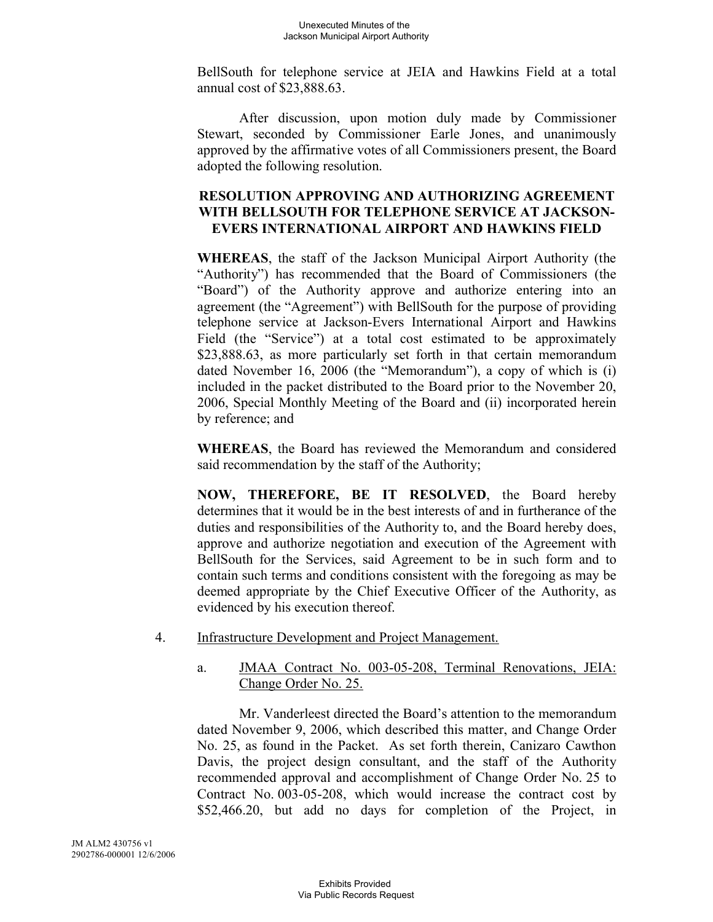BellSouth for telephone service at JEIA and Hawkins Field at a total annual cost of \$23,888.63.

After discussion, upon motion duly made by Commissioner Stewart, seconded by Commissioner Earle Jones, and unanimously approved by the affirmative votes of all Commissioners present, the Board adopted the following resolution.

# **RESOLUTION APPROVING AND AUTHORIZING AGREEMENT WITH BELLSOUTH FOR TELEPHONE SERVICE AT JACKSON-EVERS INTERNATIONAL AIRPORT AND HAWKINS FIELD**

**WHEREAS**, the staff of the Jackson Municipal Airport Authority (the "Authority") has recommended that the Board of Commissioners (the "Board") of the Authority approve and authorize entering into an agreement (the "Agreement") with BellSouth for the purpose of providing telephone service at Jackson-Evers International Airport and Hawkins Field (the "Service") at a total cost estimated to be approximately \$23,888.63, as more particularly set forth in that certain memorandum dated November 16, 2006 (the "Memorandum"), a copy of which is (i) included in the packet distributed to the Board prior to the November 20, 2006, Special Monthly Meeting of the Board and (ii) incorporated herein by reference; and

**WHEREAS**, the Board has reviewed the Memorandum and considered said recommendation by the staff of the Authority;

**NOW, THEREFORE, BE IT RESOLVED**, the Board hereby determines that it would be in the best interests of and in furtherance of the duties and responsibilities of the Authority to, and the Board hereby does, approve and authorize negotiation and execution of the Agreement with BellSouth for the Services, said Agreement to be in such form and to contain such terms and conditions consistent with the foregoing as may be deemed appropriate by the Chief Executive Officer of the Authority, as evidenced by his execution thereof.

4. Infrastructure Development and Project Management.

### a. JMAA Contract No. 003-05-208, Terminal Renovations, JEIA: Change Order No. 25.

Mr. Vanderleest directed the Board's attention to the memorandum dated November 9, 2006, which described this matter, and Change Order No. 25, as found in the Packet. As set forth therein, Canizaro Cawthon Davis, the project design consultant, and the staff of the Authority recommended approval and accomplishment of Change Order No. 25 to Contract No. 003-05-208, which would increase the contract cost by \$52,466.20, but add no days for completion of the Project, in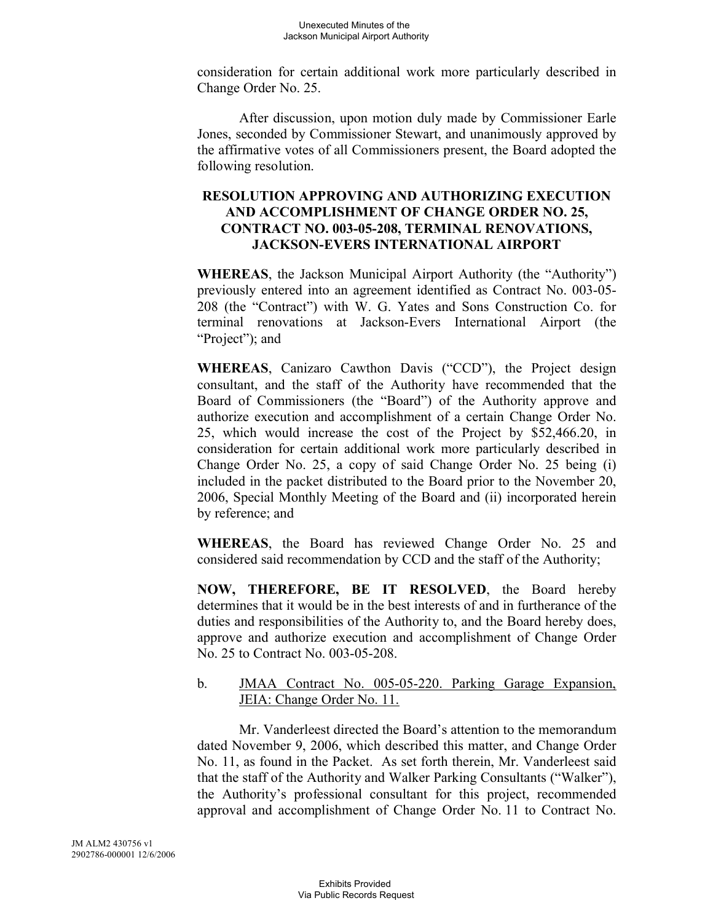consideration for certain additional work more particularly described in Change Order No. 25.

After discussion, upon motion duly made by Commissioner Earle Jones, seconded by Commissioner Stewart, and unanimously approved by the affirmative votes of all Commissioners present, the Board adopted the following resolution.

# **RESOLUTION APPROVING AND AUTHORIZING EXECUTION AND ACCOMPLISHMENT OF CHANGE ORDER NO. 25, CONTRACT NO. 003-05-208, TERMINAL RENOVATIONS, JACKSON-EVERS INTERNATIONAL AIRPORT**

**WHEREAS**, the Jackson Municipal Airport Authority (the "Authority") previously entered into an agreement identified as Contract No. 003-05- 208 (the "Contract") with W. G. Yates and Sons Construction Co. for terminal renovations at Jackson-Evers International Airport (the "Project"); and

**WHEREAS**, Canizaro Cawthon Davis ("CCD"), the Project design consultant, and the staff of the Authority have recommended that the Board of Commissioners (the "Board") of the Authority approve and authorize execution and accomplishment of a certain Change Order No. 25, which would increase the cost of the Project by \$52,466.20, in consideration for certain additional work more particularly described in Change Order No. 25, a copy of said Change Order No. 25 being (i) included in the packet distributed to the Board prior to the November 20, 2006, Special Monthly Meeting of the Board and (ii) incorporated herein by reference; and

**WHEREAS**, the Board has reviewed Change Order No. 25 and considered said recommendation by CCD and the staff of the Authority;

**NOW, THEREFORE, BE IT RESOLVED**, the Board hereby determines that it would be in the best interests of and in furtherance of the duties and responsibilities of the Authority to, and the Board hereby does, approve and authorize execution and accomplishment of Change Order No. 25 to Contract No. 003-05-208.

### b. JMAA Contract No. 005-05-220. Parking Garage Expansion, JEIA: Change Order No. 11.

Mr. Vanderleest directed the Board's attention to the memorandum dated November 9, 2006, which described this matter, and Change Order No. 11, as found in the Packet. As set forth therein, Mr. Vanderleest said that the staff of the Authority and Walker Parking Consultants ("Walker"), the Authority's professional consultant for this project, recommended approval and accomplishment of Change Order No. 11 to Contract No.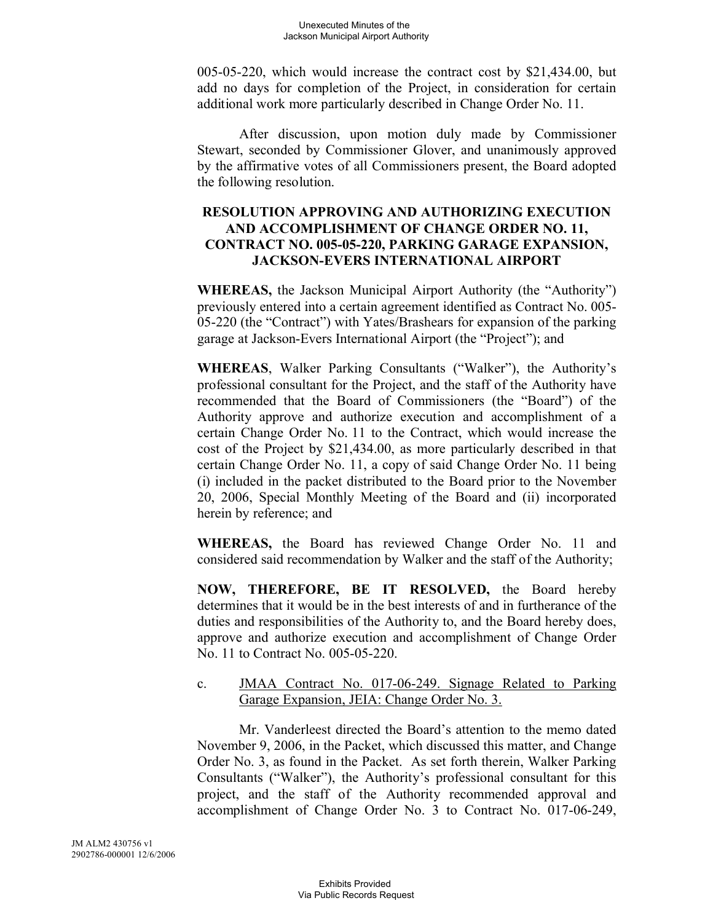005-05-220, which would increase the contract cost by \$21,434.00, but add no days for completion of the Project, in consideration for certain additional work more particularly described in Change Order No. 11.

After discussion, upon motion duly made by Commissioner Stewart, seconded by Commissioner Glover, and unanimously approved by the affirmative votes of all Commissioners present, the Board adopted the following resolution.

# **RESOLUTION APPROVING AND AUTHORIZING EXECUTION AND ACCOMPLISHMENT OF CHANGE ORDER NO. 11, CONTRACT NO. 005-05-220, PARKING GARAGE EXPANSION, JACKSON-EVERS INTERNATIONAL AIRPORT**

**WHEREAS,** the Jackson Municipal Airport Authority (the "Authority") previously entered into a certain agreement identified as Contract No. 005- 05-220 (the "Contract") with Yates/Brashears for expansion of the parking garage at Jackson-Evers International Airport (the "Project"); and

**WHEREAS**, Walker Parking Consultants ("Walker"), the Authority's professional consultant for the Project, and the staff of the Authority have recommended that the Board of Commissioners (the "Board") of the Authority approve and authorize execution and accomplishment of a certain Change Order No. 11 to the Contract, which would increase the cost of the Project by \$21,434.00, as more particularly described in that certain Change Order No. 11, a copy of said Change Order No. 11 being (i) included in the packet distributed to the Board prior to the November 20, 2006, Special Monthly Meeting of the Board and (ii) incorporated herein by reference; and

**WHEREAS,** the Board has reviewed Change Order No. 11 and considered said recommendation by Walker and the staff of the Authority;

**NOW, THEREFORE, BE IT RESOLVED,** the Board hereby determines that it would be in the best interests of and in furtherance of the duties and responsibilities of the Authority to, and the Board hereby does, approve and authorize execution and accomplishment of Change Order No. 11 to Contract No. 005-05-220.

### c. JMAA Contract No. 017-06-249. Signage Related to Parking Garage Expansion, JEIA: Change Order No. 3.

Mr. Vanderleest directed the Board's attention to the memo dated November 9, 2006, in the Packet, which discussed this matter, and Change Order No. 3, as found in the Packet. As set forth therein, Walker Parking Consultants ("Walker"), the Authority's professional consultant for this project, and the staff of the Authority recommended approval and accomplishment of Change Order No. 3 to Contract No. 017-06-249,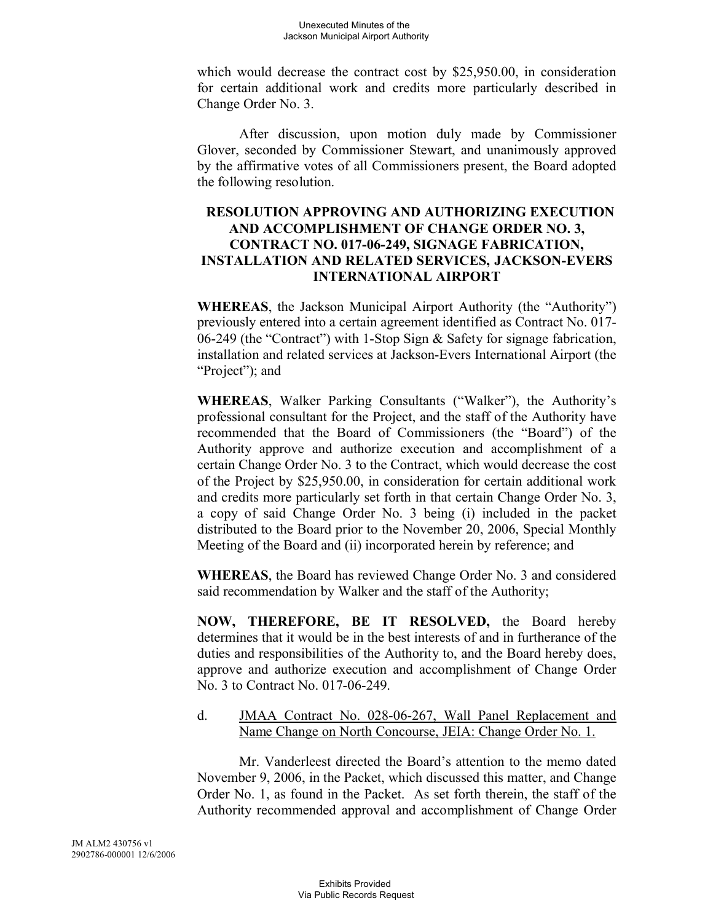which would decrease the contract cost by \$25,950.00, in consideration for certain additional work and credits more particularly described in Change Order No. 3.

After discussion, upon motion duly made by Commissioner Glover, seconded by Commissioner Stewart, and unanimously approved by the affirmative votes of all Commissioners present, the Board adopted the following resolution.

# **RESOLUTION APPROVING AND AUTHORIZING EXECUTION AND ACCOMPLISHMENT OF CHANGE ORDER NO. 3, CONTRACT NO. 017-06-249, SIGNAGE FABRICATION, INSTALLATION AND RELATED SERVICES, JACKSON-EVERS INTERNATIONAL AIRPORT**

**WHEREAS**, the Jackson Municipal Airport Authority (the "Authority") previously entered into a certain agreement identified as Contract No. 017- 06-249 (the "Contract") with 1-Stop Sign & Safety for signage fabrication, installation and related services at Jackson-Evers International Airport (the "Project"); and

**WHEREAS**, Walker Parking Consultants ("Walker"), the Authority's professional consultant for the Project, and the staff of the Authority have recommended that the Board of Commissioners (the "Board") of the Authority approve and authorize execution and accomplishment of a certain Change Order No. 3 to the Contract, which would decrease the cost of the Project by \$25,950.00, in consideration for certain additional work and credits more particularly set forth in that certain Change Order No. 3, a copy of said Change Order No. 3 being (i) included in the packet distributed to the Board prior to the November 20, 2006, Special Monthly Meeting of the Board and (ii) incorporated herein by reference; and

**WHEREAS**, the Board has reviewed Change Order No. 3 and considered said recommendation by Walker and the staff of the Authority;

**NOW, THEREFORE, BE IT RESOLVED,** the Board hereby determines that it would be in the best interests of and in furtherance of the duties and responsibilities of the Authority to, and the Board hereby does, approve and authorize execution and accomplishment of Change Order No. 3 to Contract No. 017-06-249.

### d. JMAA Contract No. 028-06-267, Wall Panel Replacement and Name Change on North Concourse, JEIA: Change Order No. 1.

Mr. Vanderleest directed the Board's attention to the memo dated November 9, 2006, in the Packet, which discussed this matter, and Change Order No. 1, as found in the Packet. As set forth therein, the staff of the Authority recommended approval and accomplishment of Change Order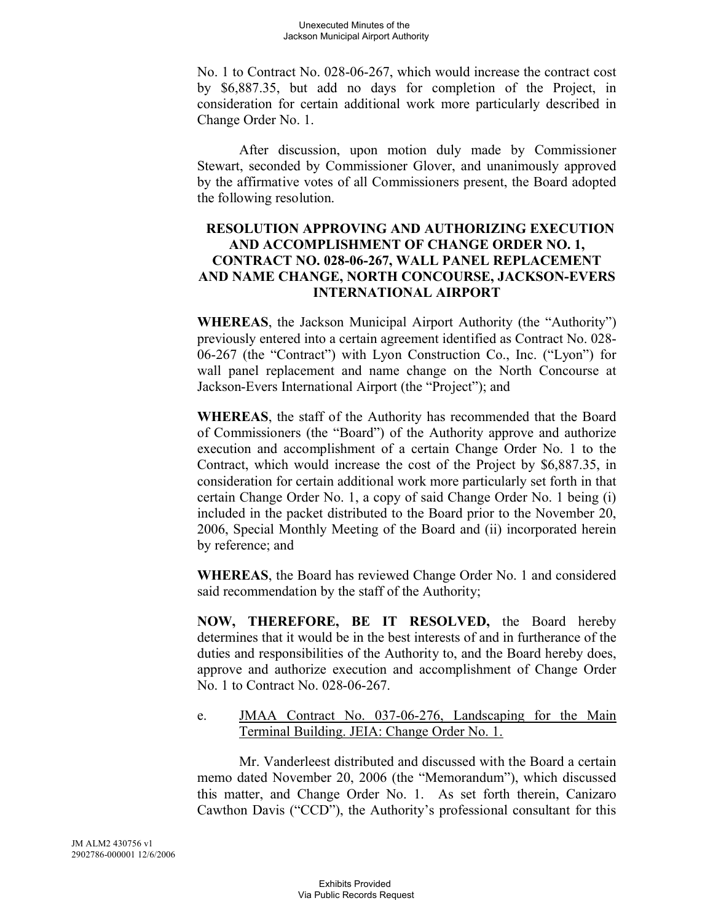No. 1 to Contract No. 028-06-267, which would increase the contract cost by \$6,887.35, but add no days for completion of the Project, in consideration for certain additional work more particularly described in Change Order No. 1.

After discussion, upon motion duly made by Commissioner Stewart, seconded by Commissioner Glover, and unanimously approved by the affirmative votes of all Commissioners present, the Board adopted the following resolution.

# **RESOLUTION APPROVING AND AUTHORIZING EXECUTION AND ACCOMPLISHMENT OF CHANGE ORDER NO. 1, CONTRACT NO. 028-06-267, WALL PANEL REPLACEMENT AND NAME CHANGE, NORTH CONCOURSE, JACKSON-EVERS INTERNATIONAL AIRPORT**

**WHEREAS**, the Jackson Municipal Airport Authority (the "Authority") previously entered into a certain agreement identified as Contract No. 028- 06-267 (the "Contract") with Lyon Construction Co., Inc. ("Lyon") for wall panel replacement and name change on the North Concourse at Jackson-Evers International Airport (the "Project"); and

**WHEREAS**, the staff of the Authority has recommended that the Board of Commissioners (the "Board") of the Authority approve and authorize execution and accomplishment of a certain Change Order No. 1 to the Contract, which would increase the cost of the Project by \$6,887.35, in consideration for certain additional work more particularly set forth in that certain Change Order No. 1, a copy of said Change Order No. 1 being (i) included in the packet distributed to the Board prior to the November 20, 2006, Special Monthly Meeting of the Board and (ii) incorporated herein by reference; and

**WHEREAS**, the Board has reviewed Change Order No. 1 and considered said recommendation by the staff of the Authority;

**NOW, THEREFORE, BE IT RESOLVED,** the Board hereby determines that it would be in the best interests of and in furtherance of the duties and responsibilities of the Authority to, and the Board hereby does, approve and authorize execution and accomplishment of Change Order No. 1 to Contract No. 028-06-267.

### e. JMAA Contract No. 037-06-276, Landscaping for the Main Terminal Building. JEIA: Change Order No. 1.

Mr. Vanderleest distributed and discussed with the Board a certain memo dated November 20, 2006 (the "Memorandum"), which discussed this matter, and Change Order No. 1. As set forth therein, Canizaro Cawthon Davis ("CCD"), the Authority's professional consultant for this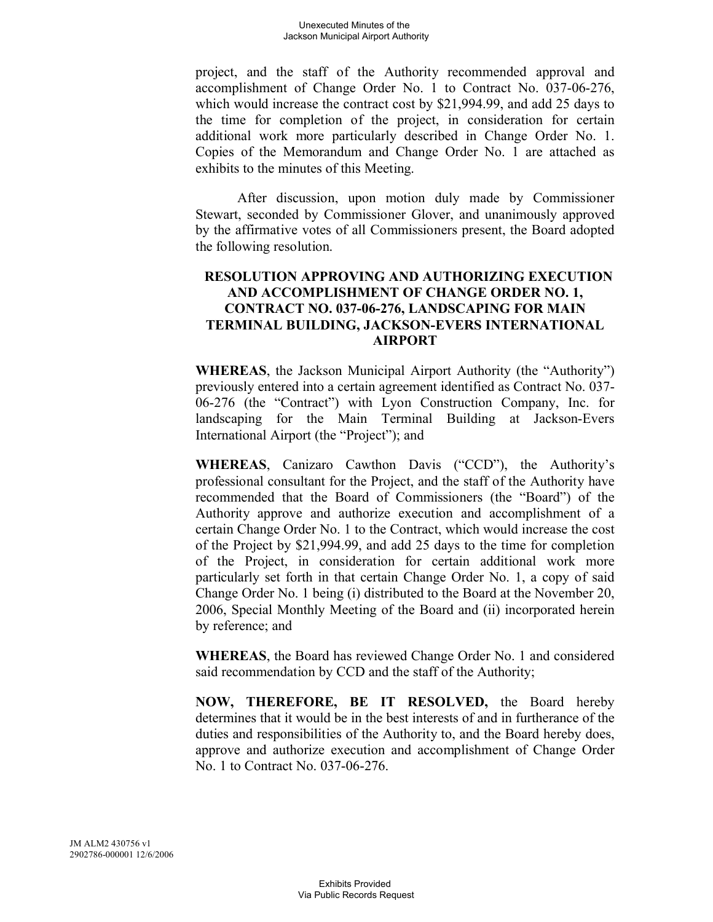project, and the staff of the Authority recommended approval and accomplishment of Change Order No. 1 to Contract No. 037-06-276, which would increase the contract cost by \$21,994.99, and add 25 days to the time for completion of the project, in consideration for certain additional work more particularly described in Change Order No. 1. Copies of the Memorandum and Change Order No. 1 are attached as exhibits to the minutes of this Meeting.

After discussion, upon motion duly made by Commissioner Stewart, seconded by Commissioner Glover, and unanimously approved by the affirmative votes of all Commissioners present, the Board adopted the following resolution.

## **RESOLUTION APPROVING AND AUTHORIZING EXECUTION AND ACCOMPLISHMENT OF CHANGE ORDER NO. 1, CONTRACT NO. 037-06-276, LANDSCAPING FOR MAIN TERMINAL BUILDING, JACKSON-EVERS INTERNATIONAL AIRPORT**

**WHEREAS**, the Jackson Municipal Airport Authority (the "Authority") previously entered into a certain agreement identified as Contract No. 037- 06-276 (the "Contract") with Lyon Construction Company, Inc. for landscaping for the Main Terminal Building at Jackson-Evers International Airport (the "Project"); and

**WHEREAS**, Canizaro Cawthon Davis ("CCD"), the Authority's professional consultant for the Project, and the staff of the Authority have recommended that the Board of Commissioners (the "Board") of the Authority approve and authorize execution and accomplishment of a certain Change Order No. 1 to the Contract, which would increase the cost of the Project by \$21,994.99, and add 25 days to the time for completion of the Project, in consideration for certain additional work more particularly set forth in that certain Change Order No. 1, a copy of said Change Order No. 1 being (i) distributed to the Board at the November 20, 2006, Special Monthly Meeting of the Board and (ii) incorporated herein by reference; and

**WHEREAS**, the Board has reviewed Change Order No. 1 and considered said recommendation by CCD and the staff of the Authority;

**NOW, THEREFORE, BE IT RESOLVED,** the Board hereby determines that it would be in the best interests of and in furtherance of the duties and responsibilities of the Authority to, and the Board hereby does, approve and authorize execution and accomplishment of Change Order No. 1 to Contract No. 037-06-276.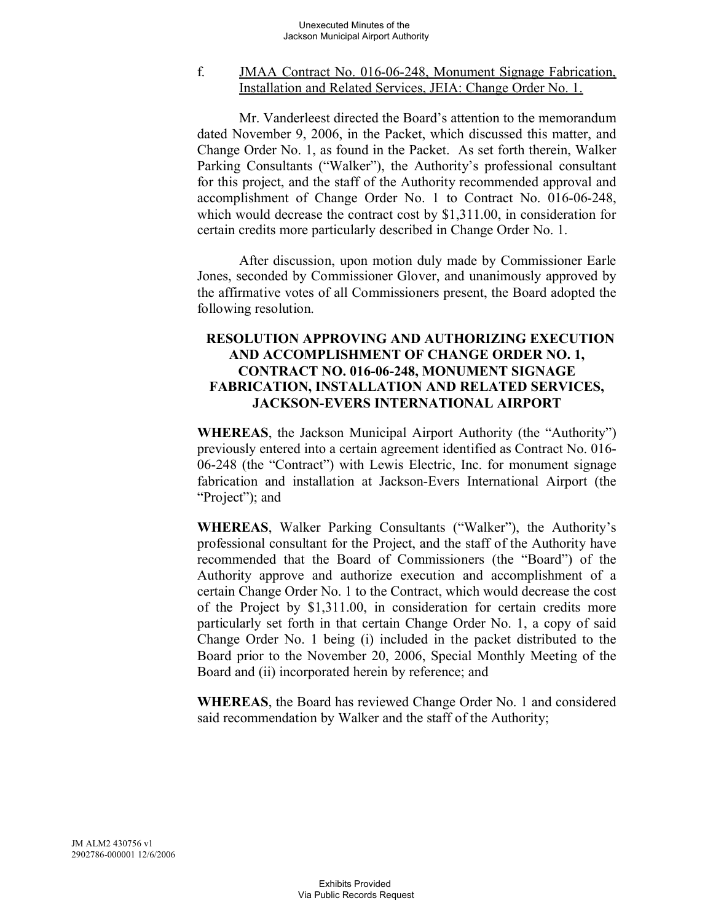## f. JMAA Contract No. 016-06-248, Monument Signage Fabrication, Installation and Related Services, JEIA: Change Order No. 1.

Mr. Vanderleest directed the Board's attention to the memorandum dated November 9, 2006, in the Packet, which discussed this matter, and Change Order No. 1, as found in the Packet. As set forth therein, Walker Parking Consultants ("Walker"), the Authority's professional consultant for this project, and the staff of the Authority recommended approval and accomplishment of Change Order No. 1 to Contract No. 016-06-248, which would decrease the contract cost by \$1,311.00, in consideration for certain credits more particularly described in Change Order No. 1.

After discussion, upon motion duly made by Commissioner Earle Jones, seconded by Commissioner Glover, and unanimously approved by the affirmative votes of all Commissioners present, the Board adopted the following resolution.

# **RESOLUTION APPROVING AND AUTHORIZING EXECUTION AND ACCOMPLISHMENT OF CHANGE ORDER NO. 1, CONTRACT NO. 016-06-248, MONUMENT SIGNAGE FABRICATION, INSTALLATION AND RELATED SERVICES, JACKSON-EVERS INTERNATIONAL AIRPORT**

**WHEREAS**, the Jackson Municipal Airport Authority (the "Authority") previously entered into a certain agreement identified as Contract No. 016- 06-248 (the "Contract") with Lewis Electric, Inc. for monument signage fabrication and installation at Jackson-Evers International Airport (the "Project"); and

**WHEREAS**, Walker Parking Consultants ("Walker"), the Authority's professional consultant for the Project, and the staff of the Authority have recommended that the Board of Commissioners (the "Board") of the Authority approve and authorize execution and accomplishment of a certain Change Order No. 1 to the Contract, which would decrease the cost of the Project by \$1,311.00, in consideration for certain credits more particularly set forth in that certain Change Order No. 1, a copy of said Change Order No. 1 being (i) included in the packet distributed to the Board prior to the November 20, 2006, Special Monthly Meeting of the Board and (ii) incorporated herein by reference; and

**WHEREAS**, the Board has reviewed Change Order No. 1 and considered said recommendation by Walker and the staff of the Authority;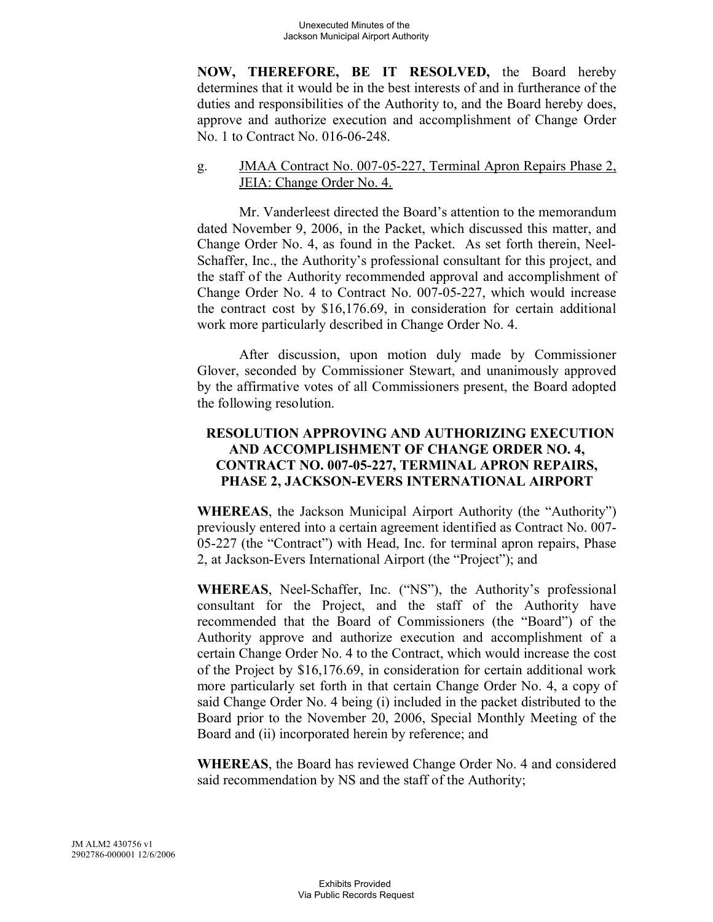**NOW, THEREFORE, BE IT RESOLVED,** the Board hereby determines that it would be in the best interests of and in furtherance of the duties and responsibilities of the Authority to, and the Board hereby does, approve and authorize execution and accomplishment of Change Order No. 1 to Contract No. 016-06-248.

# g. JMAA Contract No. 007-05-227, Terminal Apron Repairs Phase 2, JEIA: Change Order No. 4.

Mr. Vanderleest directed the Board's attention to the memorandum dated November 9, 2006, in the Packet, which discussed this matter, and Change Order No. 4, as found in the Packet. As set forth therein, Neel-Schaffer, Inc., the Authority's professional consultant for this project, and the staff of the Authority recommended approval and accomplishment of Change Order No. 4 to Contract No. 007-05-227, which would increase the contract cost by \$16,176.69, in consideration for certain additional work more particularly described in Change Order No. 4.

After discussion, upon motion duly made by Commissioner Glover, seconded by Commissioner Stewart, and unanimously approved by the affirmative votes of all Commissioners present, the Board adopted the following resolution.

# **RESOLUTION APPROVING AND AUTHORIZING EXECUTION AND ACCOMPLISHMENT OF CHANGE ORDER NO. 4, CONTRACT NO. 007-05-227, TERMINAL APRON REPAIRS, PHASE 2, JACKSON-EVERS INTERNATIONAL AIRPORT**

**WHEREAS**, the Jackson Municipal Airport Authority (the "Authority") previously entered into a certain agreement identified as Contract No. 007- 05-227 (the "Contract") with Head, Inc. for terminal apron repairs, Phase 2, at Jackson-Evers International Airport (the "Project"); and

**WHEREAS**, Neel-Schaffer, Inc. ("NS"), the Authority's professional consultant for the Project, and the staff of the Authority have recommended that the Board of Commissioners (the "Board") of the Authority approve and authorize execution and accomplishment of a certain Change Order No. 4 to the Contract, which would increase the cost of the Project by \$16,176.69, in consideration for certain additional work more particularly set forth in that certain Change Order No. 4, a copy of said Change Order No. 4 being (i) included in the packet distributed to the Board prior to the November 20, 2006, Special Monthly Meeting of the Board and (ii) incorporated herein by reference; and

**WHEREAS**, the Board has reviewed Change Order No. 4 and considered said recommendation by NS and the staff of the Authority;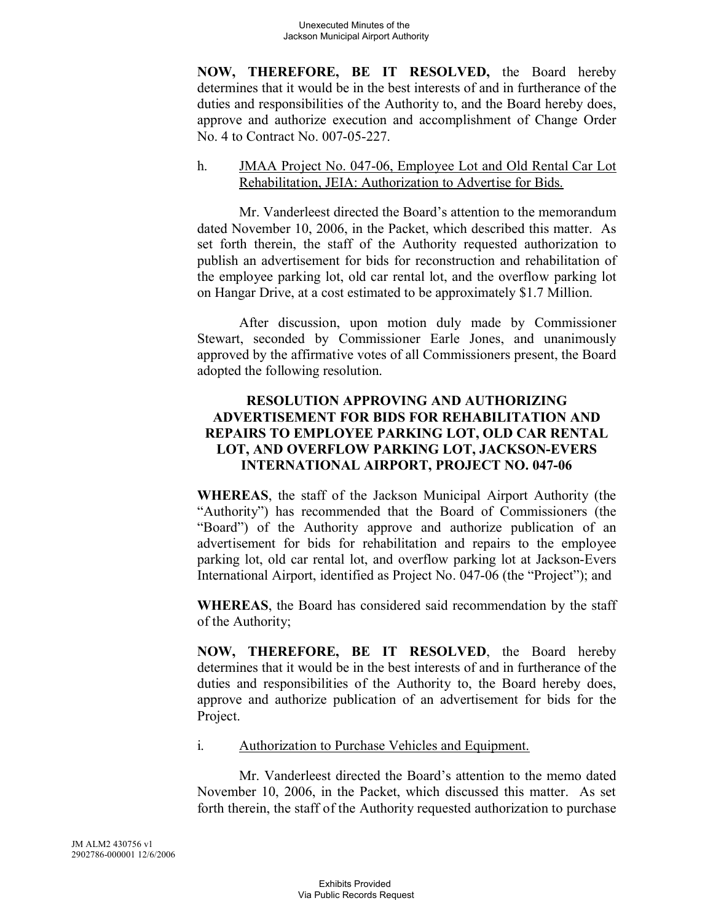**NOW, THEREFORE, BE IT RESOLVED,** the Board hereby determines that it would be in the best interests of and in furtherance of the duties and responsibilities of the Authority to, and the Board hereby does, approve and authorize execution and accomplishment of Change Order No. 4 to Contract No. 007-05-227.

# h. JMAA Project No. 047-06, Employee Lot and Old Rental Car Lot Rehabilitation, JEIA: Authorization to Advertise for Bids.

Mr. Vanderleest directed the Board's attention to the memorandum dated November 10, 2006, in the Packet, which described this matter. As set forth therein, the staff of the Authority requested authorization to publish an advertisement for bids for reconstruction and rehabilitation of the employee parking lot, old car rental lot, and the overflow parking lot on Hangar Drive, at a cost estimated to be approximately \$1.7 Million.

After discussion, upon motion duly made by Commissioner Stewart, seconded by Commissioner Earle Jones, and unanimously approved by the affirmative votes of all Commissioners present, the Board adopted the following resolution.

# **RESOLUTION APPROVING AND AUTHORIZING ADVERTISEMENT FOR BIDS FOR REHABILITATION AND REPAIRS TO EMPLOYEE PARKING LOT, OLD CAR RENTAL LOT, AND OVERFLOW PARKING LOT, JACKSON-EVERS INTERNATIONAL AIRPORT, PROJECT NO. 047-06**

**WHEREAS**, the staff of the Jackson Municipal Airport Authority (the "Authority") has recommended that the Board of Commissioners (the "Board") of the Authority approve and authorize publication of an advertisement for bids for rehabilitation and repairs to the employee parking lot, old car rental lot, and overflow parking lot at Jackson-Evers International Airport, identified as Project No. 047-06 (the "Project"); and

**WHEREAS**, the Board has considered said recommendation by the staff of the Authority;

**NOW, THEREFORE, BE IT RESOLVED**, the Board hereby determines that it would be in the best interests of and in furtherance of the duties and responsibilities of the Authority to, the Board hereby does, approve and authorize publication of an advertisement for bids for the Project.

# i. Authorization to Purchase Vehicles and Equipment.

Mr. Vanderleest directed the Board's attention to the memo dated November 10, 2006, in the Packet, which discussed this matter. As set forth therein, the staff of the Authority requested authorization to purchase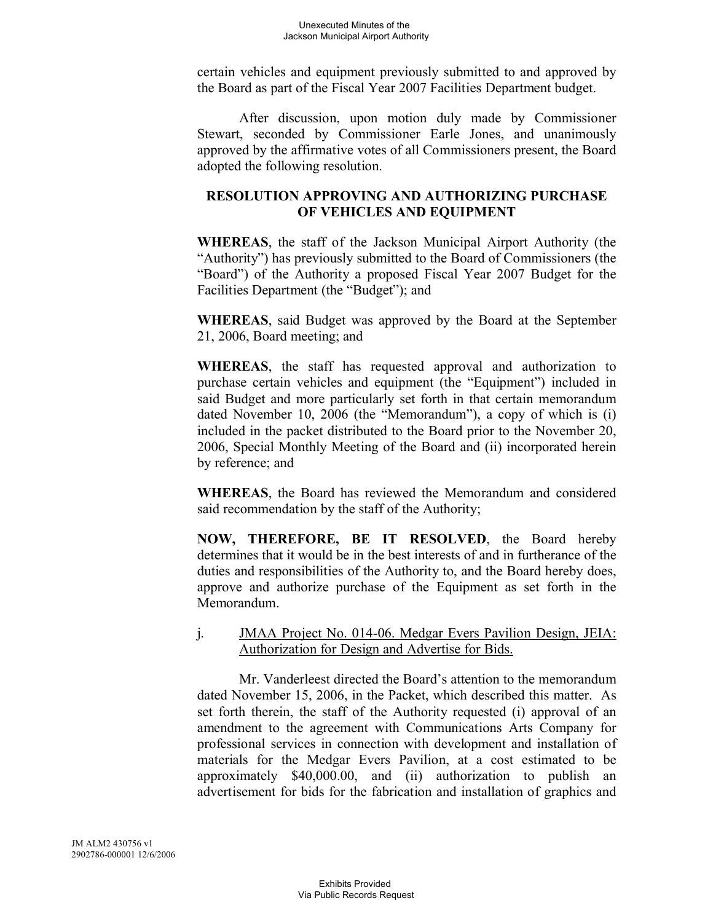certain vehicles and equipment previously submitted to and approved by the Board as part of the Fiscal Year 2007 Facilities Department budget.

After discussion, upon motion duly made by Commissioner Stewart, seconded by Commissioner Earle Jones, and unanimously approved by the affirmative votes of all Commissioners present, the Board adopted the following resolution.

# **RESOLUTION APPROVING AND AUTHORIZING PURCHASE OF VEHICLES AND EQUIPMENT**

**WHEREAS**, the staff of the Jackson Municipal Airport Authority (the "Authority") has previously submitted to the Board of Commissioners (the "Board") of the Authority a proposed Fiscal Year 2007 Budget for the Facilities Department (the "Budget"); and

**WHEREAS**, said Budget was approved by the Board at the September 21, 2006, Board meeting; and

**WHEREAS**, the staff has requested approval and authorization to purchase certain vehicles and equipment (the "Equipment") included in said Budget and more particularly set forth in that certain memorandum dated November 10, 2006 (the "Memorandum"), a copy of which is (i) included in the packet distributed to the Board prior to the November 20, 2006, Special Monthly Meeting of the Board and (ii) incorporated herein by reference; and

**WHEREAS**, the Board has reviewed the Memorandum and considered said recommendation by the staff of the Authority;

**NOW, THEREFORE, BE IT RESOLVED**, the Board hereby determines that it would be in the best interests of and in furtherance of the duties and responsibilities of the Authority to, and the Board hereby does, approve and authorize purchase of the Equipment as set forth in the Memorandum.

## j. JMAA Project No. 014-06. Medgar Evers Pavilion Design, JEIA: Authorization for Design and Advertise for Bids.

Mr. Vanderleest directed the Board's attention to the memorandum dated November 15, 2006, in the Packet, which described this matter. As set forth therein, the staff of the Authority requested (i) approval of an amendment to the agreement with Communications Arts Company for professional services in connection with development and installation of materials for the Medgar Evers Pavilion, at a cost estimated to be approximately \$40,000.00, and (ii) authorization to publish an advertisement for bids for the fabrication and installation of graphics and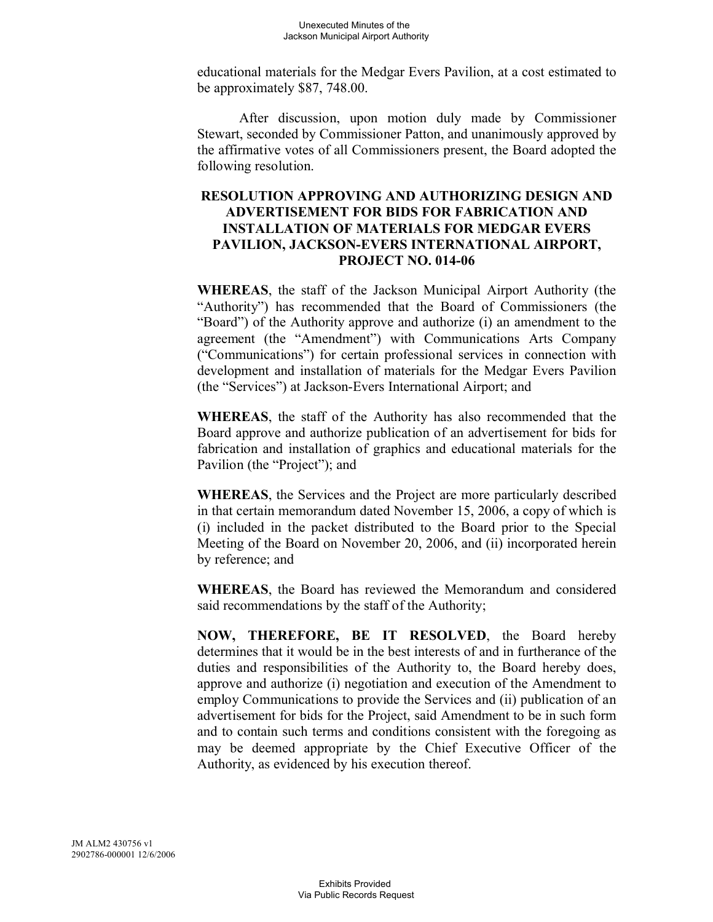educational materials for the Medgar Evers Pavilion, at a cost estimated to be approximately \$87, 748.00.

After discussion, upon motion duly made by Commissioner Stewart, seconded by Commissioner Patton, and unanimously approved by the affirmative votes of all Commissioners present, the Board adopted the following resolution.

# **RESOLUTION APPROVING AND AUTHORIZING DESIGN AND ADVERTISEMENT FOR BIDS FOR FABRICATION AND INSTALLATION OF MATERIALS FOR MEDGAR EVERS PAVILION, JACKSON-EVERS INTERNATIONAL AIRPORT, PROJECT NO. 014-06**

**WHEREAS**, the staff of the Jackson Municipal Airport Authority (the "Authority") has recommended that the Board of Commissioners (the "Board") of the Authority approve and authorize (i) an amendment to the agreement (the "Amendment") with Communications Arts Company ("Communications") for certain professional services in connection with development and installation of materials for the Medgar Evers Pavilion (the "Services") at Jackson-Evers International Airport; and

**WHEREAS**, the staff of the Authority has also recommended that the Board approve and authorize publication of an advertisement for bids for fabrication and installation of graphics and educational materials for the Pavilion (the "Project"); and

**WHEREAS**, the Services and the Project are more particularly described in that certain memorandum dated November 15, 2006, a copy of which is (i) included in the packet distributed to the Board prior to the Special Meeting of the Board on November 20, 2006, and (ii) incorporated herein by reference; and

**WHEREAS**, the Board has reviewed the Memorandum and considered said recommendations by the staff of the Authority;

**NOW, THEREFORE, BE IT RESOLVED**, the Board hereby determines that it would be in the best interests of and in furtherance of the duties and responsibilities of the Authority to, the Board hereby does, approve and authorize (i) negotiation and execution of the Amendment to employ Communications to provide the Services and (ii) publication of an advertisement for bids for the Project, said Amendment to be in such form and to contain such terms and conditions consistent with the foregoing as may be deemed appropriate by the Chief Executive Officer of the Authority, as evidenced by his execution thereof.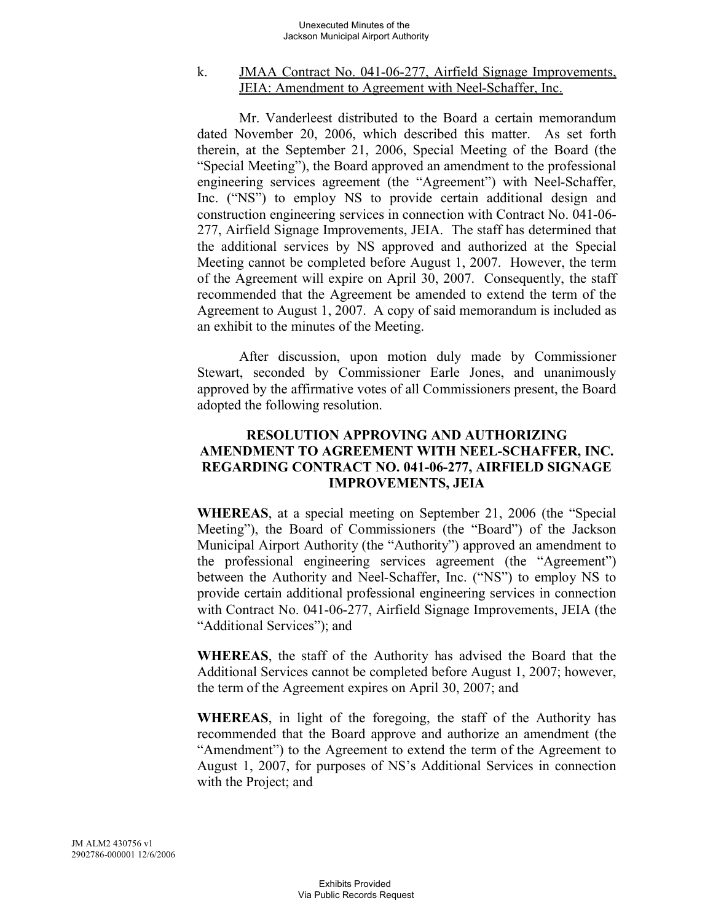### k. JMAA Contract No. 041-06-277, Airfield Signage Improvements, JEIA: Amendment to Agreement with Neel-Schaffer, Inc.

Mr. Vanderleest distributed to the Board a certain memorandum dated November 20, 2006, which described this matter. As set forth therein, at the September 21, 2006, Special Meeting of the Board (the "Special Meeting"), the Board approved an amendment to the professional engineering services agreement (the "Agreement") with Neel-Schaffer, Inc. ("NS") to employ NS to provide certain additional design and construction engineering services in connection with Contract No. 041-06- 277, Airfield Signage Improvements, JEIA. The staff has determined that the additional services by NS approved and authorized at the Special Meeting cannot be completed before August 1, 2007. However, the term of the Agreement will expire on April 30, 2007. Consequently, the staff recommended that the Agreement be amended to extend the term of the Agreement to August 1, 2007. A copy of said memorandum is included as an exhibit to the minutes of the Meeting.

After discussion, upon motion duly made by Commissioner Stewart, seconded by Commissioner Earle Jones, and unanimously approved by the affirmative votes of all Commissioners present, the Board adopted the following resolution.

# **RESOLUTION APPROVING AND AUTHORIZING AMENDMENT TO AGREEMENT WITH NEEL-SCHAFFER, INC. REGARDING CONTRACT NO. 041-06-277, AIRFIELD SIGNAGE IMPROVEMENTS, JEIA**

**WHEREAS**, at a special meeting on September 21, 2006 (the "Special Meeting"), the Board of Commissioners (the "Board") of the Jackson Municipal Airport Authority (the "Authority") approved an amendment to the professional engineering services agreement (the "Agreement") between the Authority and Neel-Schaffer, Inc. ("NS") to employ NS to provide certain additional professional engineering services in connection with Contract No. 041-06-277, Airfield Signage Improvements, JEIA (the "Additional Services"); and

**WHEREAS**, the staff of the Authority has advised the Board that the Additional Services cannot be completed before August 1, 2007; however, the term of the Agreement expires on April 30, 2007; and

**WHEREAS**, in light of the foregoing, the staff of the Authority has recommended that the Board approve and authorize an amendment (the "Amendment") to the Agreement to extend the term of the Agreement to August 1, 2007, for purposes of NS's Additional Services in connection with the Project; and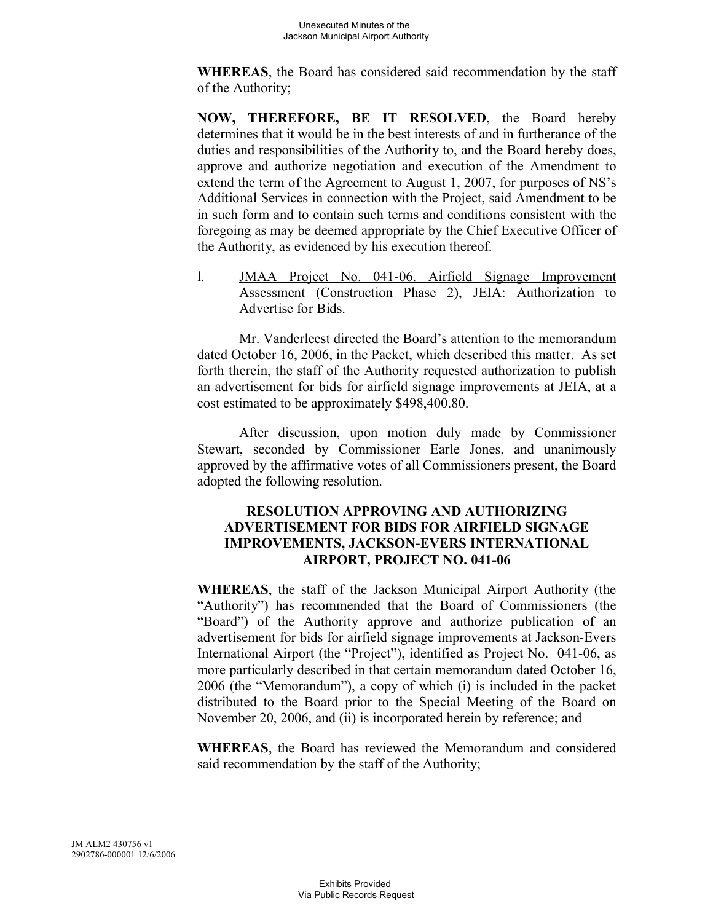**WHEREAS**, the Board has considered said recommendation by the staff of the Authority;

**NOW, THEREFORE, BE IT RESOLVED**, the Board hereby determines that it would be in the best interests of and in furtherance of the duties and responsibilities of the Authority to, and the Board hereby does, approve and authorize negotiation and execution of the Amendment to extend the term of the Agreement to August 1, 2007, for purposes of NS's Additional Services in connection with the Project, said Amendment to be in such form and to contain such terms and conditions consistent with the foregoing as may be deemed appropriate by the Chief Executive Officer of the Authority, as evidenced by his execution thereof.

l. JMAA Project No. 041-06. Airfield Signage Improvement Assessment (Construction Phase 2), JEIA: Authorization to Advertise for Bids.

Mr. Vanderleest directed the Board's attention to the memorandum dated October 16, 2006, in the Packet, which described this matter. As set forth therein, the staff of the Authority requested authorization to publish an advertisement for bids for airfield signage improvements at JEIA, at a cost estimated to be approximately \$498,400.80.

After discussion, upon motion duly made by Commissioner Stewart, seconded by Commissioner Earle Jones, and unanimously approved by the affirmative votes of all Commissioners present, the Board adopted the following resolution.

## **RESOLUTION APPROVING AND AUTHORIZING ADVERTISEMENT FOR BIDS FOR AIRFIELD SIGNAGE IMPROVEMENTS, JACKSON-EVERS INTERNATIONAL AIRPORT, PROJECT NO. 041-06**

**WHEREAS**, the staff of the Jackson Municipal Airport Authority (the "Authority") has recommended that the Board of Commissioners (the "Board") of the Authority approve and authorize publication of an advertisement for bids for airfield signage improvements at Jackson-Evers International Airport (the "Project"), identified as Project No. 041-06, as more particularly described in that certain memorandum dated October 16, 2006 (the "Memorandum"), a copy of which (i) is included in the packet distributed to the Board prior to the Special Meeting of the Board on November 20, 2006, and (ii) is incorporated herein by reference; and

**WHEREAS**, the Board has reviewed the Memorandum and considered said recommendation by the staff of the Authority;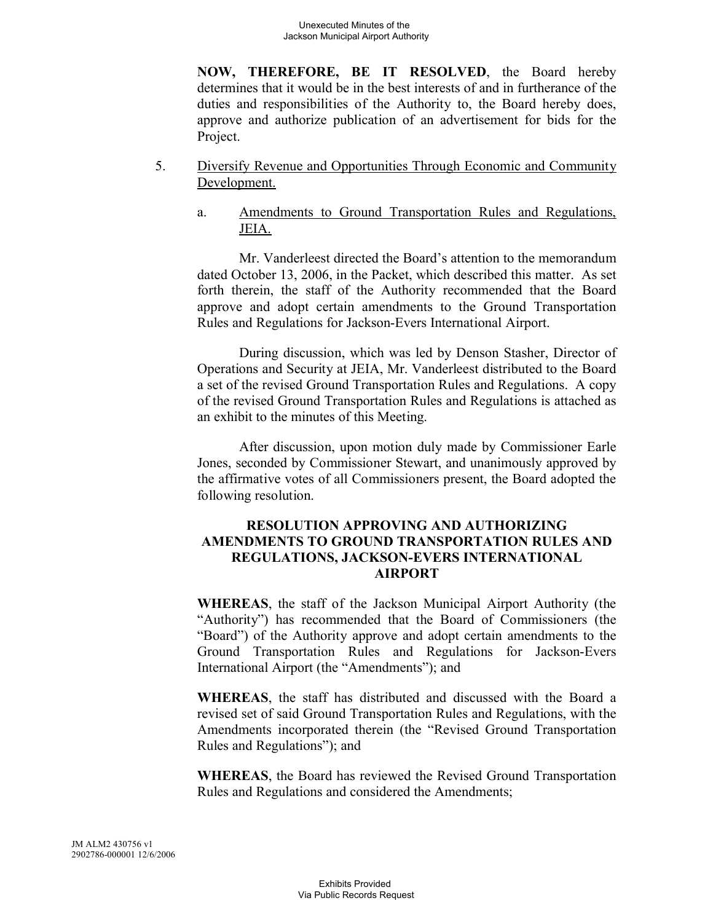**NOW, THEREFORE, BE IT RESOLVED**, the Board hereby determines that it would be in the best interests of and in furtherance of the duties and responsibilities of the Authority to, the Board hereby does, approve and authorize publication of an advertisement for bids for the Project.

- 5. Diversify Revenue and Opportunities Through Economic and Community Development.
	- a. Amendments to Ground Transportation Rules and Regulations, JEIA.

Mr. Vanderleest directed the Board's attention to the memorandum dated October 13, 2006, in the Packet, which described this matter. As set forth therein, the staff of the Authority recommended that the Board approve and adopt certain amendments to the Ground Transportation Rules and Regulations for Jackson-Evers International Airport.

During discussion, which was led by Denson Stasher, Director of Operations and Security at JEIA, Mr. Vanderleest distributed to the Board a set of the revised Ground Transportation Rules and Regulations. A copy of the revised Ground Transportation Rules and Regulations is attached as an exhibit to the minutes of this Meeting.

After discussion, upon motion duly made by Commissioner Earle Jones, seconded by Commissioner Stewart, and unanimously approved by the affirmative votes of all Commissioners present, the Board adopted the following resolution.

## **RESOLUTION APPROVING AND AUTHORIZING AMENDMENTS TO GROUND TRANSPORTATION RULES AND REGULATIONS, JACKSON-EVERS INTERNATIONAL AIRPORT**

**WHEREAS**, the staff of the Jackson Municipal Airport Authority (the "Authority") has recommended that the Board of Commissioners (the "Board") of the Authority approve and adopt certain amendments to the Ground Transportation Rules and Regulations for Jackson-Evers International Airport (the "Amendments"); and

**WHEREAS**, the staff has distributed and discussed with the Board a revised set of said Ground Transportation Rules and Regulations, with the Amendments incorporated therein (the "Revised Ground Transportation Rules and Regulations"); and

**WHEREAS**, the Board has reviewed the Revised Ground Transportation Rules and Regulations and considered the Amendments;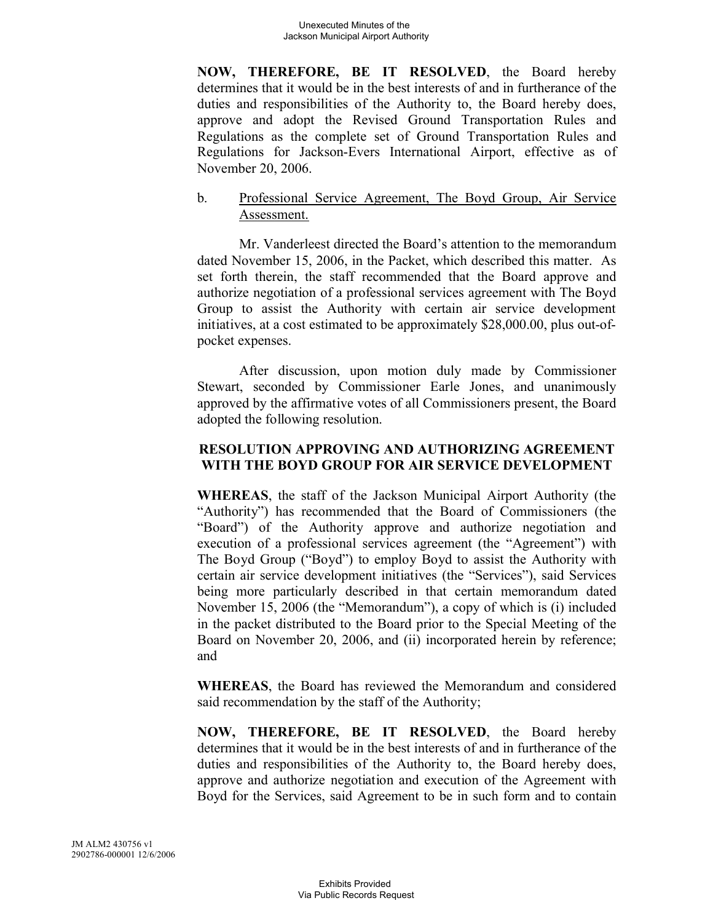**NOW, THEREFORE, BE IT RESOLVED**, the Board hereby determines that it would be in the best interests of and in furtherance of the duties and responsibilities of the Authority to, the Board hereby does, approve and adopt the Revised Ground Transportation Rules and Regulations as the complete set of Ground Transportation Rules and Regulations for Jackson-Evers International Airport, effective as of November 20, 2006.

## b. Professional Service Agreement, The Boyd Group, Air Service Assessment.

Mr. Vanderleest directed the Board's attention to the memorandum dated November 15, 2006, in the Packet, which described this matter. As set forth therein, the staff recommended that the Board approve and authorize negotiation of a professional services agreement with The Boyd Group to assist the Authority with certain air service development initiatives, at a cost estimated to be approximately \$28,000.00, plus out-ofpocket expenses.

After discussion, upon motion duly made by Commissioner Stewart, seconded by Commissioner Earle Jones, and unanimously approved by the affirmative votes of all Commissioners present, the Board adopted the following resolution.

## **RESOLUTION APPROVING AND AUTHORIZING AGREEMENT WITH THE BOYD GROUP FOR AIR SERVICE DEVELOPMENT**

**WHEREAS**, the staff of the Jackson Municipal Airport Authority (the "Authority") has recommended that the Board of Commissioners (the "Board") of the Authority approve and authorize negotiation and execution of a professional services agreement (the "Agreement") with The Boyd Group ("Boyd") to employ Boyd to assist the Authority with certain air service development initiatives (the "Services"), said Services being more particularly described in that certain memorandum dated November 15, 2006 (the "Memorandum"), a copy of which is (i) included in the packet distributed to the Board prior to the Special Meeting of the Board on November 20, 2006, and (ii) incorporated herein by reference; and

**WHEREAS**, the Board has reviewed the Memorandum and considered said recommendation by the staff of the Authority;

**NOW, THEREFORE, BE IT RESOLVED**, the Board hereby determines that it would be in the best interests of and in furtherance of the duties and responsibilities of the Authority to, the Board hereby does, approve and authorize negotiation and execution of the Agreement with Boyd for the Services, said Agreement to be in such form and to contain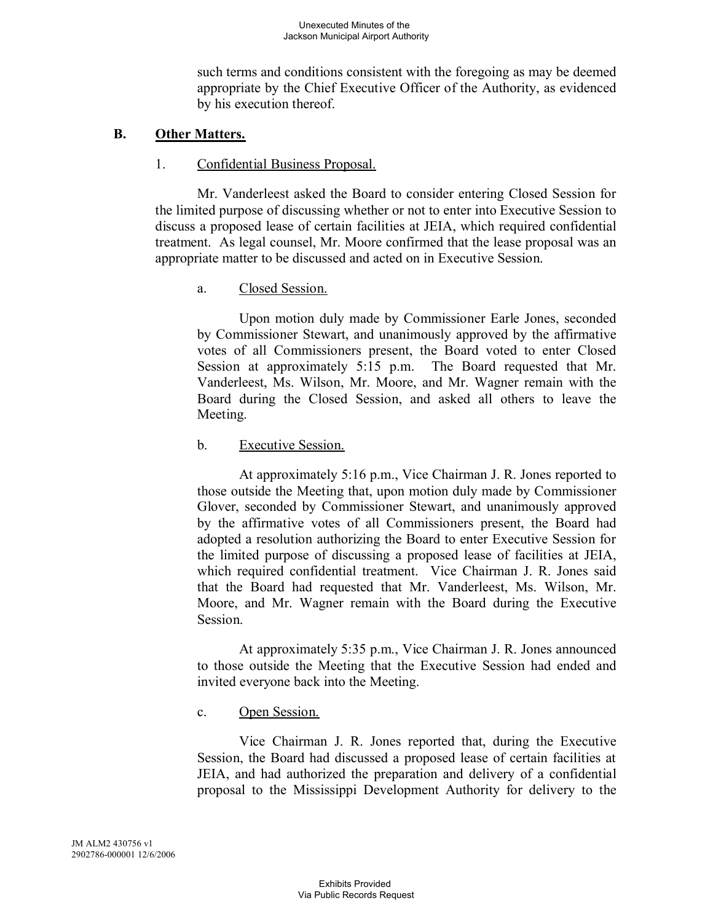such terms and conditions consistent with the foregoing as may be deemed appropriate by the Chief Executive Officer of the Authority, as evidenced by his execution thereof.

# **B. Other Matters.**

# 1. Confidential Business Proposal.

Mr. Vanderleest asked the Board to consider entering Closed Session for the limited purpose of discussing whether or not to enter into Executive Session to discuss a proposed lease of certain facilities at JEIA, which required confidential treatment. As legal counsel, Mr. Moore confirmed that the lease proposal was an appropriate matter to be discussed and acted on in Executive Session.

# a. Closed Session.

Upon motion duly made by Commissioner Earle Jones, seconded by Commissioner Stewart, and unanimously approved by the affirmative votes of all Commissioners present, the Board voted to enter Closed Session at approximately 5:15 p.m. The Board requested that Mr. Vanderleest, Ms. Wilson, Mr. Moore, and Mr. Wagner remain with the Board during the Closed Session, and asked all others to leave the Meeting.

# b. Executive Session.

At approximately 5:16 p.m., Vice Chairman J. R. Jones reported to those outside the Meeting that, upon motion duly made by Commissioner Glover, seconded by Commissioner Stewart, and unanimously approved by the affirmative votes of all Commissioners present, the Board had adopted a resolution authorizing the Board to enter Executive Session for the limited purpose of discussing a proposed lease of facilities at JEIA, which required confidential treatment. Vice Chairman J. R. Jones said that the Board had requested that Mr. Vanderleest, Ms. Wilson, Mr. Moore, and Mr. Wagner remain with the Board during the Executive Session.

At approximately 5:35 p.m., Vice Chairman J. R. Jones announced to those outside the Meeting that the Executive Session had ended and invited everyone back into the Meeting.

# c. Open Session.

Vice Chairman J. R. Jones reported that, during the Executive Session, the Board had discussed a proposed lease of certain facilities at JEIA, and had authorized the preparation and delivery of a confidential proposal to the Mississippi Development Authority for delivery to the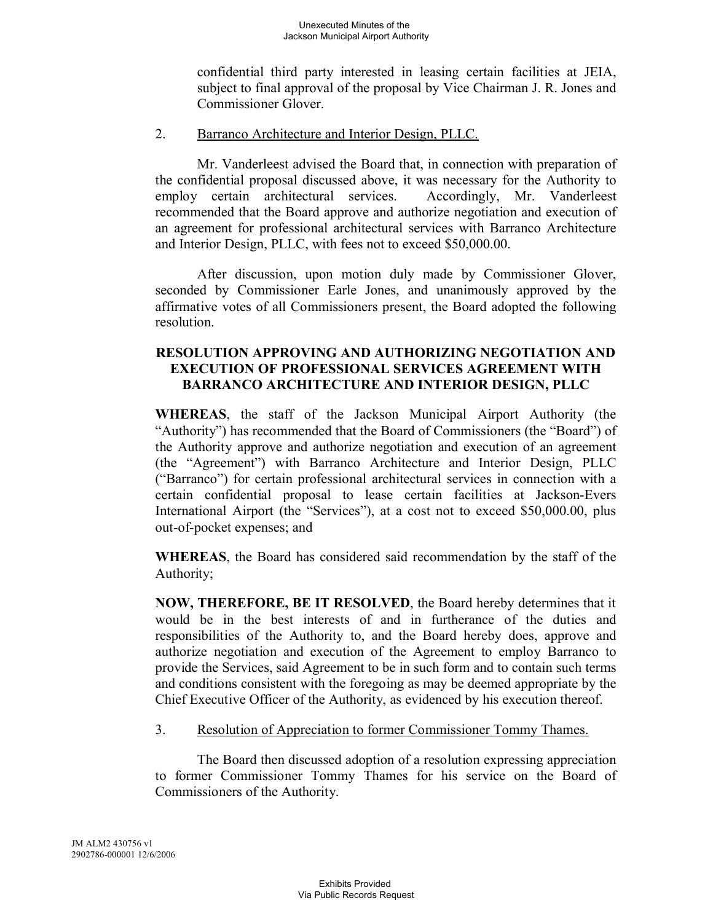confidential third party interested in leasing certain facilities at JEIA, subject to final approval of the proposal by Vice Chairman J. R. Jones and Commissioner Glover.

### 2. Barranco Architecture and Interior Design, PLLC.

Mr. Vanderleest advised the Board that, in connection with preparation of the confidential proposal discussed above, it was necessary for the Authority to employ certain architectural services. Accordingly, Mr. Vanderleest recommended that the Board approve and authorize negotiation and execution of an agreement for professional architectural services with Barranco Architecture and Interior Design, PLLC, with fees not to exceed \$50,000.00.

After discussion, upon motion duly made by Commissioner Glover, seconded by Commissioner Earle Jones, and unanimously approved by the affirmative votes of all Commissioners present, the Board adopted the following resolution.

# **RESOLUTION APPROVING AND AUTHORIZING NEGOTIATION AND EXECUTION OF PROFESSIONAL SERVICES AGREEMENT WITH BARRANCO ARCHITECTURE AND INTERIOR DESIGN, PLLC**

**WHEREAS**, the staff of the Jackson Municipal Airport Authority (the "Authority") has recommended that the Board of Commissioners (the "Board") of the Authority approve and authorize negotiation and execution of an agreement (the "Agreement") with Barranco Architecture and Interior Design, PLLC ("Barranco") for certain professional architectural services in connection with a certain confidential proposal to lease certain facilities at Jackson-Evers International Airport (the "Services"), at a cost not to exceed \$50,000.00, plus out-of-pocket expenses; and

**WHEREAS**, the Board has considered said recommendation by the staff of the Authority;

**NOW, THEREFORE, BE IT RESOLVED**, the Board hereby determines that it would be in the best interests of and in furtherance of the duties and responsibilities of the Authority to, and the Board hereby does, approve and authorize negotiation and execution of the Agreement to employ Barranco to provide the Services, said Agreement to be in such form and to contain such terms and conditions consistent with the foregoing as may be deemed appropriate by the Chief Executive Officer of the Authority, as evidenced by his execution thereof.

# 3. Resolution of Appreciation to former Commissioner Tommy Thames.

The Board then discussed adoption of a resolution expressing appreciation to former Commissioner Tommy Thames for his service on the Board of Commissioners of the Authority.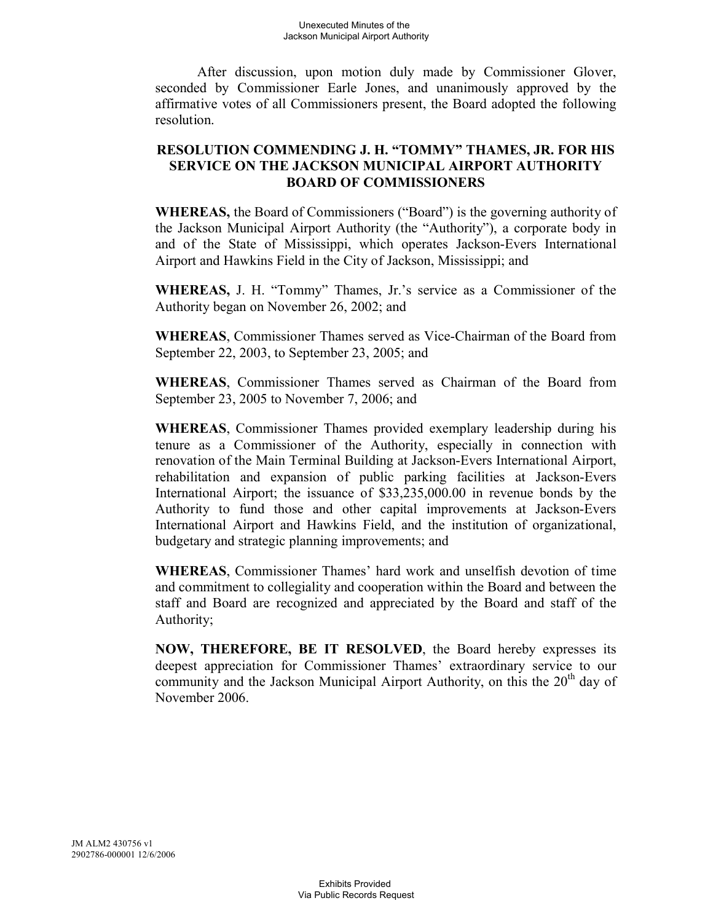After discussion, upon motion duly made by Commissioner Glover, seconded by Commissioner Earle Jones, and unanimously approved by the affirmative votes of all Commissioners present, the Board adopted the following resolution.

## **RESOLUTION COMMENDING J. H. "TOMMY" THAMES, JR. FOR HIS SERVICE ON THE JACKSON MUNICIPAL AIRPORT AUTHORITY BOARD OF COMMISSIONERS**

**WHEREAS,** the Board of Commissioners ("Board") is the governing authority of the Jackson Municipal Airport Authority (the "Authority"), a corporate body in and of the State of Mississippi, which operates Jackson-Evers International Airport and Hawkins Field in the City of Jackson, Mississippi; and

**WHEREAS,** J. H. "Tommy" Thames, Jr.'s service as a Commissioner of the Authority began on November 26, 2002; and

**WHEREAS**, Commissioner Thames served as Vice-Chairman of the Board from September 22, 2003, to September 23, 2005; and

**WHEREAS**, Commissioner Thames served as Chairman of the Board from September 23, 2005 to November 7, 2006; and

**WHEREAS**, Commissioner Thames provided exemplary leadership during his tenure as a Commissioner of the Authority, especially in connection with renovation of the Main Terminal Building at Jackson-Evers International Airport, rehabilitation and expansion of public parking facilities at Jackson-Evers International Airport; the issuance of \$33,235,000.00 in revenue bonds by the Authority to fund those and other capital improvements at Jackson-Evers International Airport and Hawkins Field, and the institution of organizational, budgetary and strategic planning improvements; and

**WHEREAS**, Commissioner Thames' hard work and unselfish devotion of time and commitment to collegiality and cooperation within the Board and between the staff and Board are recognized and appreciated by the Board and staff of the Authority;

**NOW, THEREFORE, BE IT RESOLVED**, the Board hereby expresses its deepest appreciation for Commissioner Thames' extraordinary service to our community and the Jackson Municipal Airport Authority, on this the  $20<sup>th</sup>$  day of November 2006.